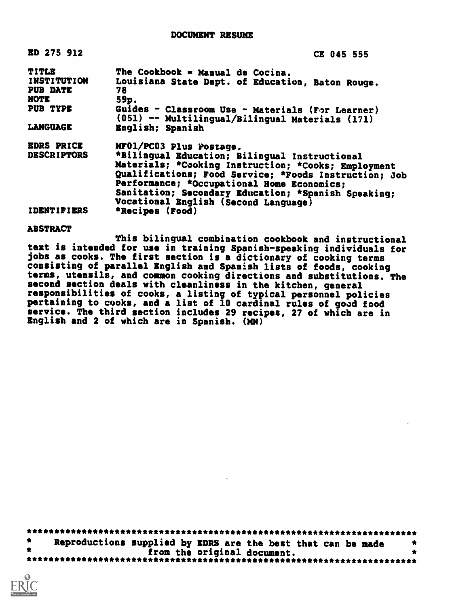| ED 275 912         | CE 045 555                                                                                          |
|--------------------|-----------------------------------------------------------------------------------------------------|
| <b>TITLE</b>       | The Cookbook = Manual de Cocina.                                                                    |
| <b>INSTITUTION</b> | Louisiana State Dept. of Education, Baton Rouge.                                                    |
| <b>PUB DATE</b>    | 78                                                                                                  |
| <b>NOTE</b>        | 59p.                                                                                                |
| PUB TYPE           | Guides - Classroom Use - Materials (For Learner)<br>(051) -- Multilingual/Bilingual Materials (171) |
| <b>LANGUAGE</b>    | English; Spanish                                                                                    |
| <b>EDRS PRICE</b>  | MF01/PC03 Plus Postage.                                                                             |
| <b>DESCRIPTORS</b> | *Bilingual Education; Bilingual Instructional                                                       |
|                    | Materials; *Cooking Instruction; *Cooks; Employment                                                 |
|                    | Qualifications; Food Service; *Foods Instruction; Job                                               |
|                    | Performance; *Occupational Home Economics;                                                          |
|                    | Sanitation; Secondary Education; *Spanish Speaking;                                                 |
|                    |                                                                                                     |
|                    | Vocational English (Second Language)                                                                |
| <b>IDENTIFIERS</b> | *Recipes (Food)                                                                                     |

ABSTRACT

This bilingual combination cookbook and instructional test is intended for use in training Spanish-speaking individuals for jobs as cooks. The first section is a dictionary of cooking terms consisting of parallel English and Spanish lists of foods, cooking terms, utensils, and common cooking directions and substitutions. The second section deals with cleanliness in the kitchen, general responsibilities of cooks, a listing of typical personnel policies pertaining to cooks, and a list of 10 cardinal rules of good food service. The third section includes 29 recipes, 27 of which are in English and 2 of which are in Spanish. (MN)

| Reproductions supplied by EDRS are the best that can be made |  |
|--------------------------------------------------------------|--|
| from the original document.                                  |  |
|                                                              |  |

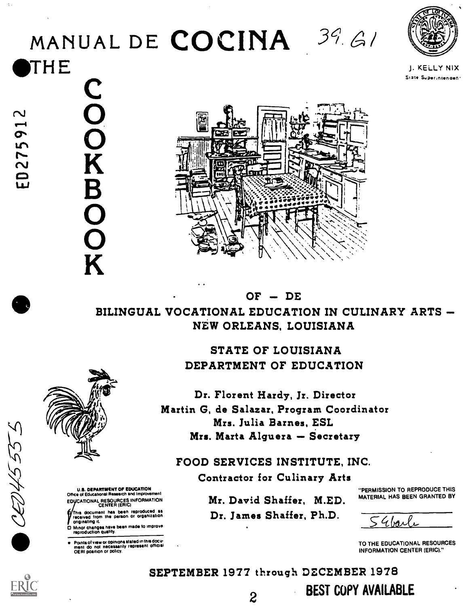# MANUAL DE COCINA  $39.61$ **THE**



J. KELLY NIX Sizte Superintenden:



## BILINGUAL VOCATIONAL EDUCATION IN CULINARY ARTS NEW ORLEANS, LOUISIANA

 $OF - DE$ 

STATE OF LOUISIANA DEPARTMENT OF EDUCATION

Dr. Florent Hardy, Jr. Director Martin G, de Salazar, Program Coordinator Mrs. Julia Barnes, ESL Mrs. Marta Alguera - Secretary

FOOD SERVICES INSTITUTE, INC.

Contractor for Culinary Arts

Mr. David Shaffer, M.ED.

Dr. James Shaffer, Ph.D.

"PERMISSION TO REPRODUCE THIS MATERIAL HAS BEEN GRANTED BY

<u>54boile</u>

TO THE EDUCATIONAL RESOURCES INFORMATION CENTER (ERIC)."

SEPTEMBER 1977 through DECEMBER 1978 BEST COPY AVAILABLE



**BOOK** 

U.S. DEPARTMENT OF EDUCATION<br>Office of Educational Research and Improvement EDUCATIONAL RESOURCES INFORMATION<br>CENTER (ERIC)

his document has been reproduced as received from the person or organization originating it.

0 Minor changes have been made to improve reproduction qualify.

Points of view or opinions stated in this docu-<br>ment do not necessarily represent official<br>OERI position or policy.

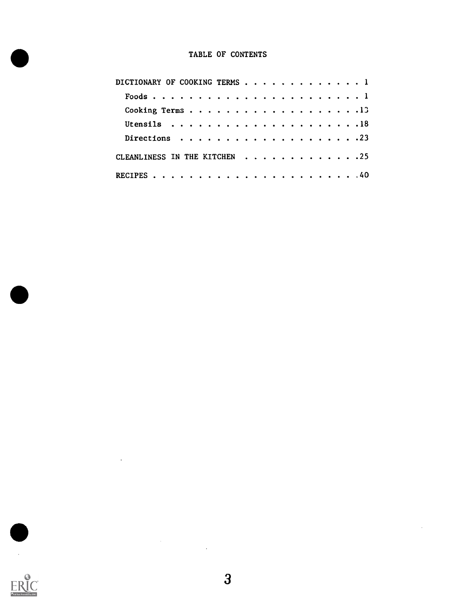#### TABLE OF CONTENTS

| DICTIONARY OF COOKING TERMS $\cdots$ , 1 |
|------------------------------------------|
|                                          |
|                                          |
|                                          |
|                                          |
| CLEANLINESS IN THE KITCHEN 25            |
|                                          |



 $\ddot{\phantom{a}}$ 

 $\sim 10^{-10}$ 

 $\lambda$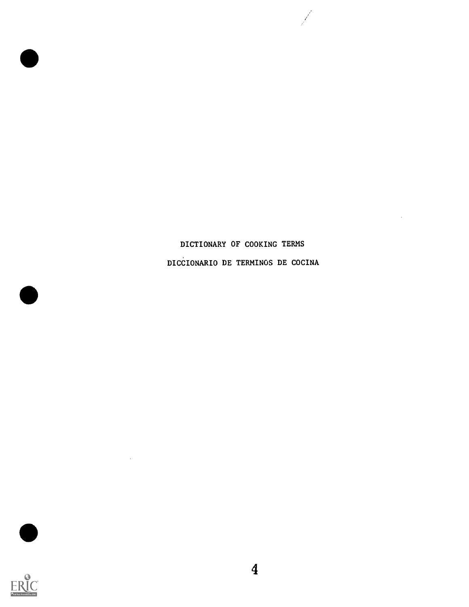## DICTIONARY OF COOKING TERMS DICCIONARIO DE TERMINOS DE COCINA

Ÿ.

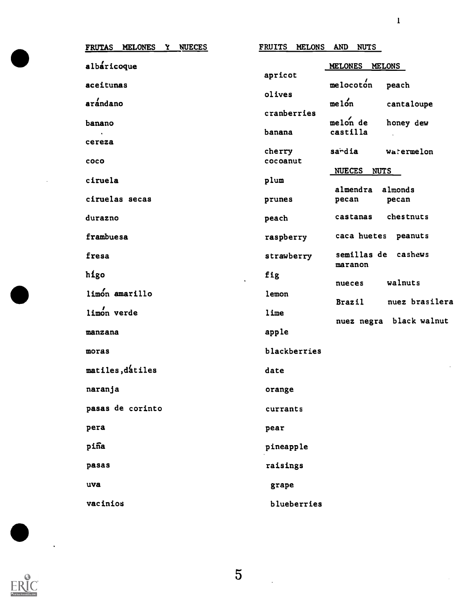| <b>MELONES</b><br>Y NUECES<br><b>FRUTAS</b> | <b>FRUITS</b><br><b>MELONS</b><br><b>AND</b><br><b>NUTS</b> |
|---------------------------------------------|-------------------------------------------------------------|
| albaricoque                                 | MELONES<br>MELONS<br>apricot                                |
| aceitunas                                   | melocoton<br>peach<br>olives                                |
| arándano                                    | melon<br>cantaloupe<br>cranberries                          |
| banano                                      | $melon$ de<br>honey dew<br>castilla<br>banana               |
| cereza                                      | sardia<br><b>Watermelon</b><br>cherry                       |
| coco                                        | cocoanut<br><b>NUECES</b><br><b>NUTS</b>                    |
| ciruela                                     | plum<br>almendra<br>almonds                                 |
| ciruelas secas                              | prunes<br>pecan<br>pecan                                    |
| durazno                                     | chestnuts<br>castanas<br>peach                              |
| frambuesa                                   | caca huetes<br>peanuts<br>raspberry                         |
| fresa                                       | semillas de cashews<br>strawberry<br>maranon                |
| higo                                        | fig<br>walnuts<br>nueces                                    |
| limón amarillo                              | lemon<br>nuez brasilera<br>Brazil                           |
| limon verde                                 | lime<br>nuez negra black walnut                             |
| manzana                                     | apple                                                       |
| moras                                       | blackberries                                                |
| matiles, datiles                            | date                                                        |
| naranja                                     | orange                                                      |
| pasas de corinto                            | currants                                                    |
| pera                                        | pear                                                        |
| piña                                        | pineapple                                                   |
| pasas                                       | raisings                                                    |
| uva                                         | grape                                                       |
| vacinios                                    | blueberries                                                 |



 $\ddot{\phantom{0}}$ 

5

 $\ddot{\phantom{a}}$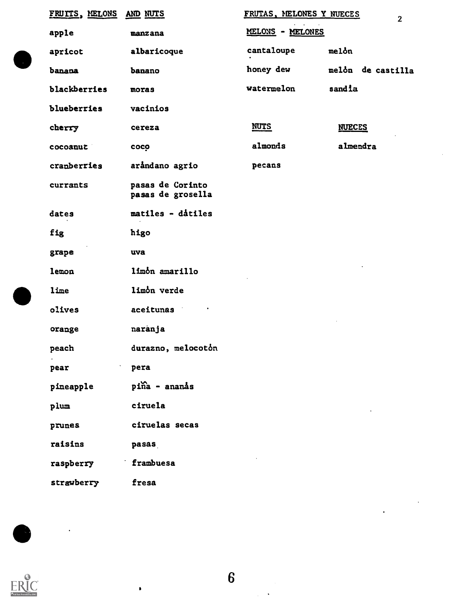| FRUITS, MELONS     | AND NUTS                              | FRUTAS, MELONES Y NUECES | $\overline{2}$    |
|--------------------|---------------------------------------|--------------------------|-------------------|
| apple              | manzana                               | MELONS - MELONES         |                   |
| apricot            | albaricoque                           | cantaloupe               | melon             |
| banana             | banano                                | honey dew                | melón de castilla |
| blackberries       | moras                                 | watermelon               | sandia            |
| blueberries        | vacinios                              |                          |                   |
| cherry             | cereza                                | <b>NUTS</b>              | <b>NUECES</b>     |
| cocoanut           | coco                                  | almonds                  | almendra          |
| cranberries        | aråndano agrio                        | pecans                   |                   |
| currants           | pasas de Corinto<br>pasas de grosella |                          |                   |
| dates              | matiles - datiles                     |                          |                   |
| fig                | higo                                  |                          |                   |
| grape              | uva                                   |                          |                   |
| lemon              | limon amarillo                        |                          |                   |
| lime               | limon verde                           |                          |                   |
| olives             | aceitunas                             |                          |                   |
| orange             | naranja                               |                          |                   |
| peach<br>$\bullet$ | durazno, melocotón                    |                          |                   |
| pear               | pera                                  |                          |                   |
| pineapple          | piña - ananás                         |                          |                   |
| plum               | ciruela                               |                          |                   |
| prunes             | ciruelas secas                        |                          |                   |
| raisins            | pasas                                 |                          |                   |
| raspberry          | frambuesa                             |                          |                   |
| strawberry         | fresa                                 |                          |                   |
|                    |                                       |                          |                   |



6

 $\ddot{\phantom{0}}$ 

 $\bullet$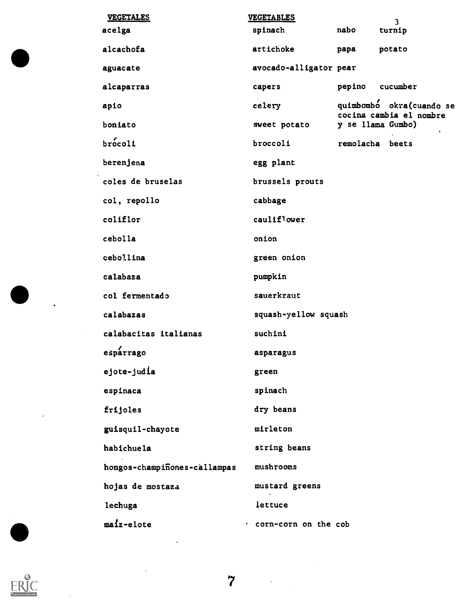| <b>VEGETALES</b>             | <b>VEGETABLES</b>      |        | 3                                                   |
|------------------------------|------------------------|--------|-----------------------------------------------------|
| acelga                       | spinach                | nabo   | turnip                                              |
| alcachofa                    | artichoke              | papa   | potato                                              |
| aguacate                     | avocado-alligator pear |        |                                                     |
| alcaparras                   | capers                 | pepino | cucumber                                            |
| apio                         | celery                 |        | quimbombo okra(cuando se<br>cocina cambia el nombre |
| boniato                      | sweet potato           |        | y se llama Gumbo)                                   |
| brocoli                      | broccoli               |        | remolacha beets                                     |
| berenjena                    | egg plant              |        |                                                     |
| coles de bruselas            | brussels prouts        |        |                                                     |
| col, repollo                 | cabbage                |        |                                                     |
| coliflor                     | cauliflower            |        |                                                     |
| cebolla                      | onion                  |        |                                                     |
| cebollina                    | green onion            |        |                                                     |
| calabaza                     | pumpkin                |        |                                                     |
| col fermentado               | sauerkraut             |        |                                                     |
| calabazas                    | squash-yellow squash   |        |                                                     |
| calabacitas italianas        | suchini                |        |                                                     |
| esparrago                    | asparagus              |        |                                                     |
| ejote-judía                  | green                  |        |                                                     |
| espinaca                     | spinach                |        |                                                     |
| frijoles                     | dry beans              |        |                                                     |
| guisquil-chayote             | mirleton               |        |                                                     |
| habichuela                   | string beans           |        |                                                     |
| hongos-champiñones-callampas | mushrooms              |        |                                                     |
| hojas de mostaza             | mustard greens         |        |                                                     |
| lechuga                      | lettuce                |        |                                                     |
| maiz-elote                   | . corn-corn on the cob |        |                                                     |



 $\overline{\phantom{a}}$ 

 $\ddot{\phantom{0}}$ 

 $\ddot{\phantom{a}}$ 

 $\ddot{\phantom{a}}$ 

 $\frac{1}{2}$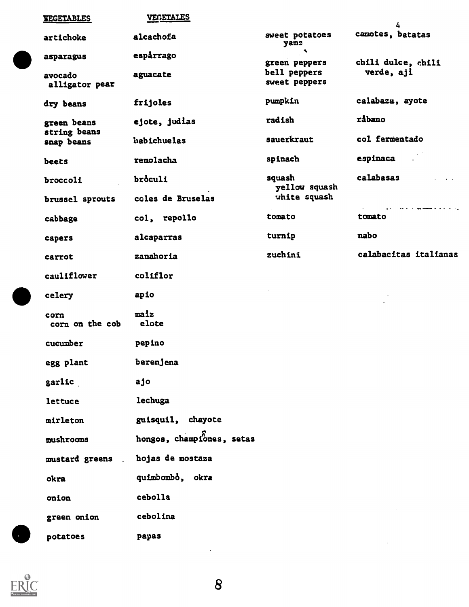| <b>EEGETABLES</b>                | <b>VEGETALES</b>          |                                        | 4                                                            |
|----------------------------------|---------------------------|----------------------------------------|--------------------------------------------------------------|
| artichoke                        | alcachofa                 | sweet potatoes<br>yams                 | camotes, batatas                                             |
| asparagus                        | espårrago                 | $\mathbb{R}^{\infty}$<br>green peppers | chili dulce, chili                                           |
| avocado<br>alligator pear        | aguacate                  | bell peppers<br>sweet peppers          | verde, aji                                                   |
| dry beans                        | frijoles                  | pumpkin                                | calabaza, ayote                                              |
| green beans<br>string beans      | ejote, judias             | radish                                 | råbano                                                       |
| snap beans                       | habichuelas               | sauerkraut                             | col fermentado                                               |
| beets                            | remolacha                 | spinach                                | espinaca<br>an an                                            |
| broccoli                         | broculi                   | squash<br>yellow squash                | calabasas                                                    |
| brussel sprouts                  | coles de Bruselas         | white squash                           | the contract and completely according to the contract of the |
| cabbage                          | col, repollo              | tomato                                 | tomato                                                       |
| capers                           | alcaparras                | turnip                                 | nabo                                                         |
| carrot                           | zanahoria                 | zuchini                                | calabacitas italianas                                        |
| cauliflower                      | coliflor                  |                                        |                                                              |
| celery                           | apio                      |                                        |                                                              |
| corn<br>corn on the cob          | maiz<br>elote             |                                        |                                                              |
| cucumber                         | pepino                    |                                        |                                                              |
| egg plant                        | berenjena                 |                                        |                                                              |
| garlic                           | ajo                       |                                        |                                                              |
| lettuce                          | lechuga                   |                                        |                                                              |
| mirleton                         | guisquil, chayote         |                                        |                                                              |
| mushrooms                        | hongos, championes, setas |                                        |                                                              |
| mustard greens<br>$\mathbb{R}^2$ | hojas de mostaza          |                                        |                                                              |
| okra                             | quimbombo, okra           |                                        |                                                              |
| onion                            | cebolla                   |                                        |                                                              |
| green onion                      | cebolina                  |                                        |                                                              |
| potatoes                         | papas                     |                                        |                                                              |



 $\hat{\boldsymbol{\gamma}}$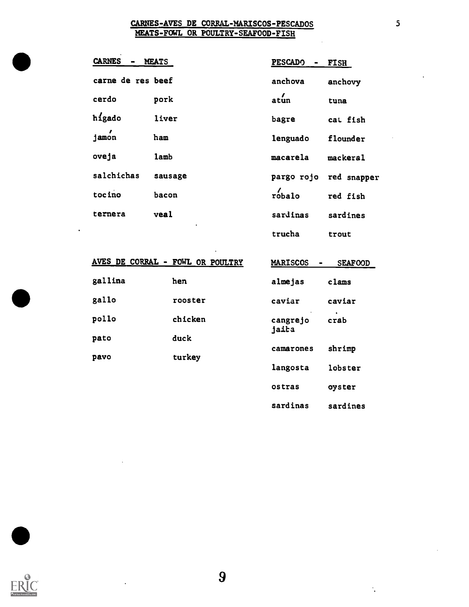#### CARNES-AVES DE CORRAL-MARISCOS-PESCADOS MEATS-FOWL OR POULTRY-SEAFOOD-FISH

| <b>CARNES</b>     | <b>MEATS</b> | <b>PESCADO</b> | <b>FISH</b>            |
|-------------------|--------------|----------------|------------------------|
| carne de res beef |              | anchova        | anchovy                |
| cerdo             | pork         | atun           | tuna                   |
| higado            | liver        | bagre          | cat fish               |
| jamon             | ham          | lenguado       | flounder               |
| oveja             | lamb         | macarela       | mackeral               |
| salchichas        | sausage      |                | pargo rojo red snapper |
| tocino            | bacon        | $\int$ robalo  | red fish               |
| ternera           | veal         | sardinas       | sardines               |
|                   | ٠            | trucha         | trout                  |

|         | AVES DE CORRAL - FOWL OR POULTRY | <b>MARISCOS</b><br>$\blacksquare$ | <b>SEAFOOD</b> |
|---------|----------------------------------|-----------------------------------|----------------|
| gallina | hen                              | almejas                           | clams          |
| gallo   | rooster                          | caviar                            | caviar         |
| pollo   | chicken                          | cangrejo<br>jaita                 | crab           |
| pato    | duck                             | camarones                         | shrimp         |
| pavo    | turkey                           | langosta                          | lobster        |
|         |                                  | ostras                            | oyster         |
|         |                                  | sardinas                          | sardines       |



 $\blacksquare$ 

9

 $\ddot{\phantom{a}}$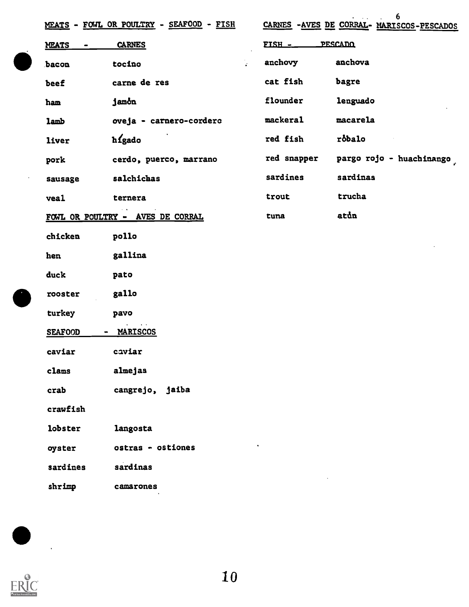|                | MEATS - FOWL OR POULTRY - SEAFOOD - FISH |             | 6<br>CARNES -AVES DE CORRAL- MARISCOS-PESCADOS |
|----------------|------------------------------------------|-------------|------------------------------------------------|
| MEATS          | <b>CARNES</b>                            | FISH -      | PESCADO                                        |
| bacon          | $\mathcal{L}_{\mathcal{L}}$<br>tocino    | anchovy     | anchova                                        |
| beef           | carne de res                             | cat fish    | bagre                                          |
| ham            | jamon                                    | flounder    | lenguado                                       |
| lamb           | oveja - carnero-cordero                  | mackeral    | macarela                                       |
| liver          | higado                                   | red fish    | robalo                                         |
| pork           | cerdo, puerco, marrano                   | red snapper | pargo rojo - huachinango                       |
| sausage        | salchichas                               | sardines    | sardinas                                       |
| veal           | ternera                                  | trout       | trucha                                         |
|                | FOWL OR POULTRY - AVES DE CORRAL         | tuna        | atun                                           |
| chicken        | pollo                                    |             |                                                |
| hen            | gallina                                  |             |                                                |
| duck           | pato                                     |             |                                                |
| rooster        | gallo                                    |             |                                                |
| turkey         | pavo                                     |             |                                                |
| <b>SEAFOOD</b> | - MARISCOS                               |             |                                                |
| caviar         | caviar                                   |             |                                                |
| clams          | almejas                                  |             |                                                |
| crab           | cangrejo, jaiba                          |             |                                                |
| crawfish       |                                          |             |                                                |
| lobster        | langosta                                 |             |                                                |
| oyster         | ostras - ostiones                        |             |                                                |
| sardines       | sardinas                                 |             |                                                |
| shrimp         | camarones                                |             |                                                |

 $\frac{1}{2}$ 

 $\ddot{\phantom{0}}$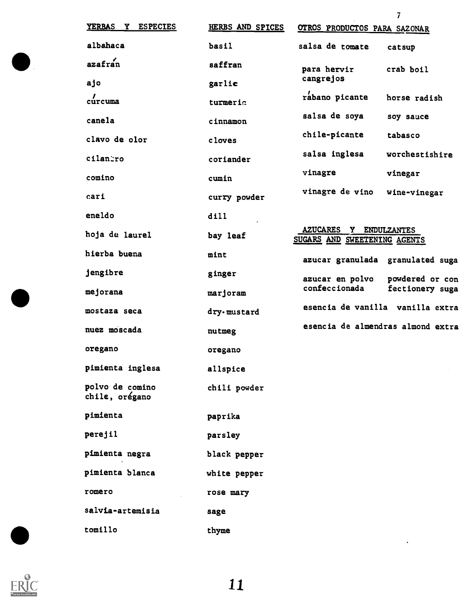| YERBAS Y<br><b>ESPECIES</b>       | HERBS AND SPICES | OTROS PRODUCTOS PARA SAZONAR                           |                 |
|-----------------------------------|------------------|--------------------------------------------------------|-----------------|
| albahaca                          | basil            | salsa de tomate                                        | catsup          |
| azafran                           | saffran          | para hervir                                            | crab boil       |
| ajo                               | garlic           | cangrejos                                              |                 |
| $\frac{7}{2}$ curcuma             | turmeric         | rabano picante                                         | horse radish    |
| canela                            | cinnamon         | salsa de soya                                          | soy sauce       |
| clavo de olor                     | cloves           | chile-picante                                          | tabasco         |
| cilantro                          | coriander        | salsa inglesa                                          | worchestishire  |
| comino                            | cumin            | vinagre                                                | vinegar         |
| cari                              | curry powder     | vinagre de vino                                        | wine-vinegar    |
| eneldo                            | dill             |                                                        |                 |
| hoja de laurel                    | bay leaf         | AZUCARES Y ENDULZANTES<br>SUGARS AND SWEETENING AGENTS |                 |
| hierba buena                      | mint             | azucar granulada granulated suga                       |                 |
| jengibre                          | ginger           | azucar en polvo                                        | powdered or con |
| mejorana                          | marjoram         | confeccionada                                          | fectionery suga |
| mostaza seca                      | dry.mustard      | esencia de vanilla vanilla extra                       |                 |
| nuez moscada                      | nutmeg           | esencia de almendras almond extra                      |                 |
| oregano                           | oregano          |                                                        |                 |
| pimienta inglesa                  | allspice         |                                                        |                 |
| polvo de comino<br>chile, orégano | chili powder     |                                                        |                 |
| pimienta                          | paprika          |                                                        |                 |
| perejil                           | parsley          |                                                        |                 |
| pimienta negra                    | black pepper     |                                                        |                 |
| pimienta blanca                   | white pepper     |                                                        |                 |
| romero                            | rose mary        |                                                        |                 |
| salvia-artemisia                  | sage             |                                                        |                 |
| tomillo                           | thyme            |                                                        |                 |



 $\blacksquare$ 

 $\ddot{\phantom{a}}$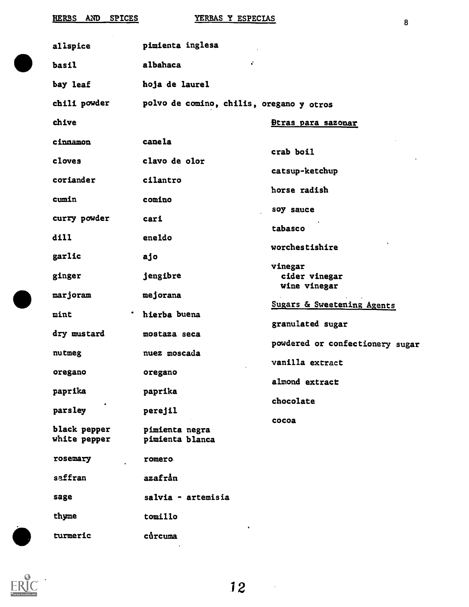| HERBS AND SPICES             | YERBAS Y ESPECIAS                        | 8                               |
|------------------------------|------------------------------------------|---------------------------------|
| allspice                     | pimienta inglesa                         |                                 |
| basil                        | ÷.<br>albahaca                           |                                 |
| bay leaf                     | hoja de laurel                           |                                 |
| chili powder                 | polvo de comino, chilis, oregano y otros |                                 |
| chive                        |                                          | <u>Btras para sazonar</u>       |
| cinnamon                     | canela                                   |                                 |
| cloves                       | clavo de olor                            | crab boil                       |
| coriander                    | cilantro                                 | catsup-ketchup                  |
| cumin                        | comino                                   | horse radish                    |
| curry powder                 | cari                                     | soy sauce                       |
| dill                         | eneldo                                   | tabasco                         |
| garlic                       | ajo                                      | worchestishire                  |
| ginger                       | jengibre                                 | vinegar<br>cider vinegar        |
| marjoram                     | mejorana                                 | wine vinegar                    |
| mint                         | hierba buena                             | Sugars & Sweetening Agents      |
| dry mustard                  | mostaza seca                             | granulated sugar                |
| nutmeg                       | nuez moscada                             | powdered or confectionery sugar |
| oregano                      | oregano                                  | vanilla extract                 |
| paprika                      | paprika                                  | almond extract<br>chocolate     |
| parsley                      | perejil                                  |                                 |
| black pepper<br>white pepper | pimienta negra<br>pimienta blanca        | cocoa                           |
| rosemary                     | romero                                   |                                 |
| saffran                      | azafrån                                  |                                 |
| sage                         | salvia - artemisia                       |                                 |
| thyme                        | tomillo                                  |                                 |
| turmeric                     | curcuma                                  |                                 |
|                              |                                          |                                 |

ERIC<sup>O</sup>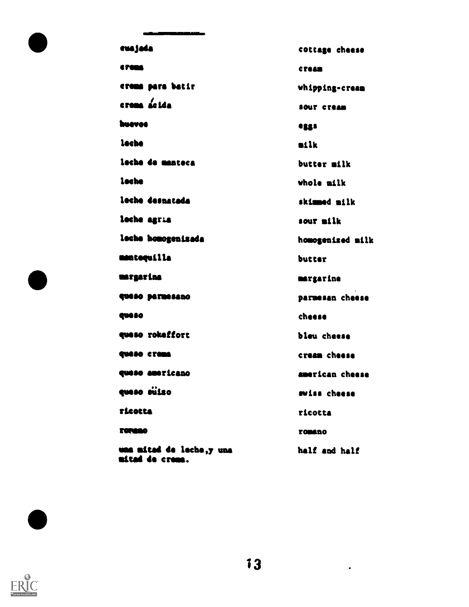| eusjada                                     | cottage cheese   |
|---------------------------------------------|------------------|
| <b>CTORA</b>                                | <b>CYRAM</b>     |
| erems para batir                            | whipping-cream   |
| crema acida                                 | SOUT CTOAN       |
| huevos                                      | eggs             |
| lache                                       | milk             |
| leche de manteca                            | butter milk      |
| leche                                       | whole milk       |
| leche despatada                             | skimmed milk     |
| leche agria                                 | sour milk        |
| loche honogenizada                          | homogenized milk |
| mentequilla                                 | butter           |
| margarina                                   | margarine        |
| queso parmesano                             | parmesan cheese  |
| <b>queso</b>                                | cheese           |
| queso rokeffort                             | bleu chaese      |
| queso crema                                 | cream cheese     |
| queso americano                             | american cheese  |
| queso súizo                                 | swiss cheese     |
| <b>Ticotta</b>                              | ricotta          |
| <b>TORGEO</b>                               | romano           |
| una mitad de leche,y una<br>nitad de creme. | half and half    |



 $\bullet$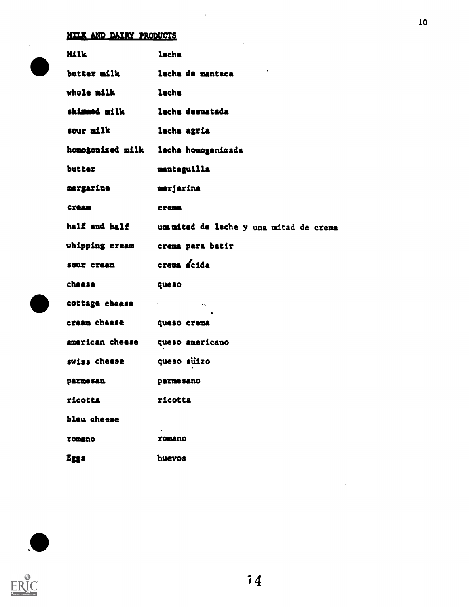### MILK AND DAIRY PRODUCTS

| <b>Milk</b>     | leche                                                         |
|-----------------|---------------------------------------------------------------|
| butter milk     | $\bullet$<br>leche de manteca                                 |
| whole milk      | lache                                                         |
| skimmed milk    | lache desnatada                                               |
| sour milk       | leche agria                                                   |
|                 | homogonized milk leche homogenizada                           |
| butter          | manteguilla                                                   |
| margarine       | marjarina                                                     |
| <b>CYRAIN</b>   | <b>CYRDA</b>                                                  |
| half and half   | um mitad de leche y una mitad de crema                        |
| whipping cream  | crama para batir                                              |
| sour cream      | crema acida                                                   |
| cheese          | queso                                                         |
| cottage cheese  | $\epsilon$ , and $\epsilon$ , and $\epsilon$ , and $\epsilon$ |
| cream cheese    | queso crema                                                   |
| american cheese | queso americano                                               |
| swiss cheese    | queso sulzo                                                   |
| <b>parmesan</b> | parmesano                                                     |
| ricotta         | ricotta                                                       |
| bleu cheese     |                                                               |
| romano          | romano                                                        |
| <b>Eggs</b>     | huevos                                                        |





 $\bar{z}$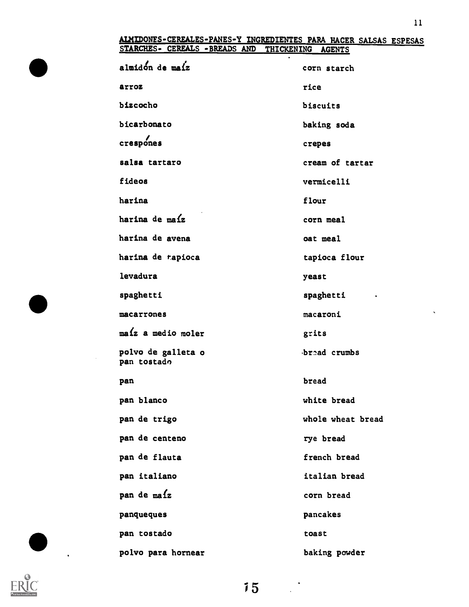#### ALHIDONTS-CEREALES-PANES-Y INGREDIENTES PARA HACER SALSAS ESPESAS STARCHES- CEREALS -BREADS AND THICKENING AGENTS

| almidon de maíz                   | corn starch       |
|-----------------------------------|-------------------|
| arroz                             | rice              |
| bizcocho                          | biscuits          |
| bicarbonato                       | baking soda       |
| crespones                         | crepes            |
| salsa tartaro                     | cream of tartar   |
| fideos                            | vermicelli        |
| harina                            | flour             |
| harina de maíz                    | corn meal         |
| harina de avena                   | oat meal          |
| harina de tapioca                 | tapioca flour     |
| levadura                          | yeast             |
| spaghetti                         | spaghetti         |
| macarrones                        | macaroni          |
| $ma\$ a medio moler               | grits             |
| polvo de galleta o<br>pan tostado | bread crumbs      |
| pan                               | bread             |
| pan blanco                        | white bread       |
| pan de trigo                      | whole wheat bread |
| pan de centeno                    | rye bread         |
| pan de flauta                     | french bread      |
| pan italiano                      | italian bread     |
| pan de maíz                       | corn bread        |
| panqueques                        | pancakes          |
| pan tostado                       | toast             |
| polvo para hornear                | baking powder     |



 $\ddot{\phantom{a}}$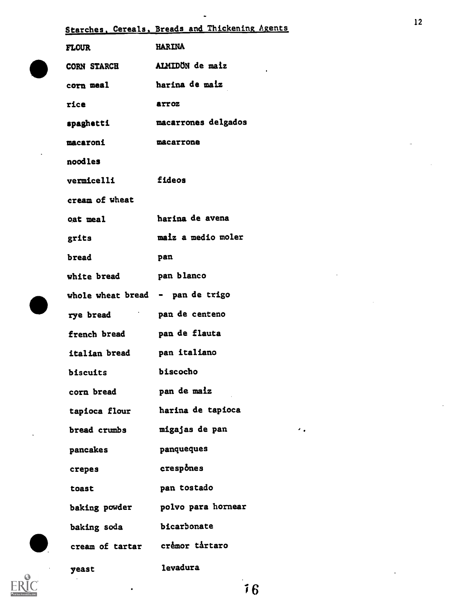| <b>FLOUR</b>                     | <b>HARINA</b>       |
|----------------------------------|---------------------|
| <b>CORN STARCH</b>               | ALMIDÖN de maiz     |
| corn meal                        | harina de maiz      |
| rice                             | arroz               |
| spaghetti                        | macarrones delgados |
| macaroni                         | macarrone           |
| noodles                          |                     |
| <b>vermicelli</b>                | fideos              |
| cream of wheat                   |                     |
| oat meal                         | harina de avena     |
| grits                            | maiz a medio moler  |
| bread                            | pan                 |
| white bread                      | pan blanco          |
| whole wheat bread - pan de trigo |                     |
| rye bread ban de centeno         |                     |
| french bread                     | pan de flauta       |
| italian bread                    | pan italiano        |
| <b>biscuits</b>                  | biscocho            |
| corn bread                       | pan de maiz         |
| tapioca flour                    | harina de tapioca   |
| bread crumbs                     | migajas de pan      |
| pancakes                         | panqueques          |
| crepes                           | crespones           |
| toast                            | pan tostado         |
| baking powder                    | polvo para hornear  |
| baking soda                      | bicarbonate         |
| cream of tartar cremor tartaro   |                     |
| yeast                            | <b>levadura</b>     |

Starches, Cereals, Breads and Thickening Agents

 $\bullet$ 



 $\overline{\phantom{a}}$  6

 $\sigma_{\rm eff}$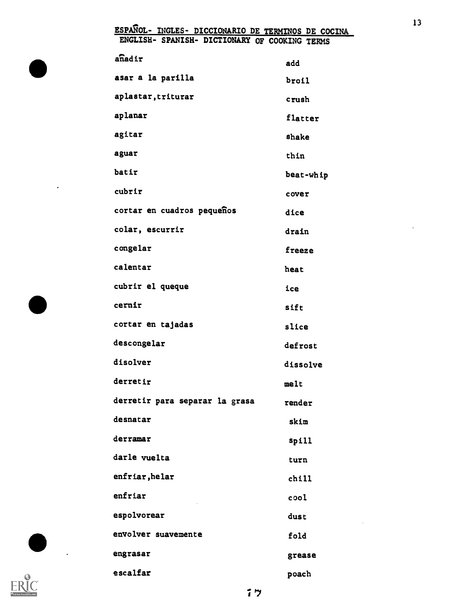#### <u>ESPANOL- INGLES- DICCIONARIO DE TERMINOS DE COCINA</u> ENGLISH- SPANISH- DICTIONARY OF COOKING TERMS

| anadir                         | add       |
|--------------------------------|-----------|
| asar a la parilla              | broil     |
| aplastar, triturar             | crush     |
| aplanar                        | flatter   |
| agitar                         | shake     |
| aguar                          | thin      |
| batir                          | beat-whip |
| cubrir                         | cover     |
| cortar en cuadros pequeños     | dice      |
| colar, escurrir                | drain     |
| congelar                       | freeze    |
| calentar                       | heat      |
| cubrir el queque               | ice       |
| cernir                         | sift      |
| cortar en tajadas              | slice     |
| descongelar                    | defrost   |
| disolver                       | dissolve  |
| derretir                       | melt      |
| derretir para separar la grasa | render    |
| desnatar                       | skim      |
| derramar                       | spill     |
| darle vuelta                   | turn      |
| enfriar, helar                 | chill     |
| enfriar                        | cool      |
| espolvorear                    | dust      |
| envolver suavemente            | fold      |
| engrasar                       | grease    |
| escalfar                       | poach     |



 $\ddot{\phantom{0}}$ 

 $\bullet$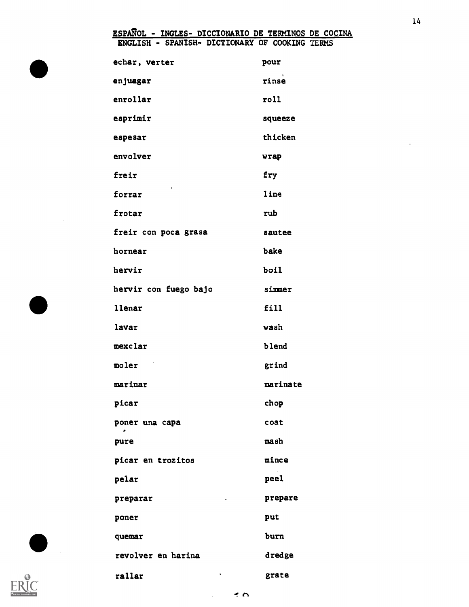#### ESPAROL - INGLES- DICCIONARIO DE TERMINOS DE COCINA ENGLISH - SPANISH- DICTIONARY OP COOKING TERMS

| echar, verter         | pour     |
|-----------------------|----------|
| enjuagar              | rinse    |
| enrollar              | roll     |
| esprimir              | squeeze  |
| espesar               | thicken  |
| envolver              | wrap     |
| freir                 | fry      |
| ٠<br>forrar           | line     |
| frotar                | rub      |
| freir con poca grasa  | sautee   |
| hornear               | bake     |
| hervir                | boil     |
| hervir con fuego bajo | simmer   |
| <b>llenar</b>         | fill     |
| lavar                 | wash     |
| mexclar               | blend    |
| moler                 | grind    |
| marinar               | marinate |
| picar                 | chop     |
| poner una capa<br>٠   | coat     |
| pure                  | mash     |
| picar en trozitos     | mince    |
| pelar                 | peel     |
| preparar              | prepare  |
| poner                 | put      |
| quemar                | burn     |
| revolver en harina    | dredge   |
| rallar                | grate    |

14

 $\ddot{\phantom{1}}$ 

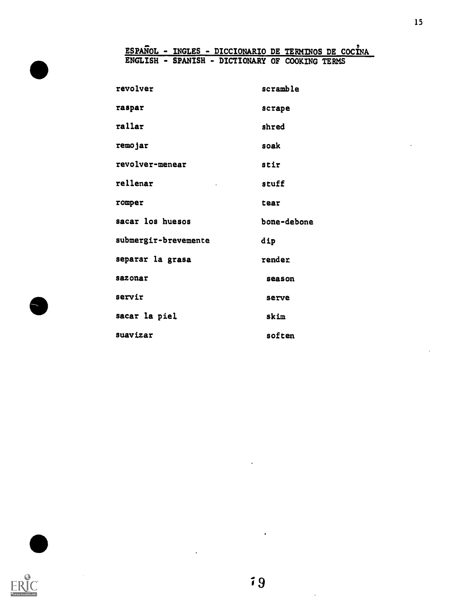#### <u>ESPANOL - INGLES - DICCIONARIO DE TERMINOS DE COCINA</u> ENGLISH - SPANISH - DICTIONARY OF COOKING TERMS

| revolver                 | scramble    |
|--------------------------|-------------|
| raspar                   | scrape      |
| rallar                   | shred       |
| remojar                  | soak        |
| revolver-menear          | stir        |
| rellenar<br>$\mathbf{r}$ | stuff       |
| romper                   | tear        |
| sacar los huesos         | bone-debone |
|                          |             |
| submergir-brevemente     | dip         |
| separar la grasa         | render      |
| sazonar                  | season      |
| servir                   | serve       |
| sacar la piel            | skim        |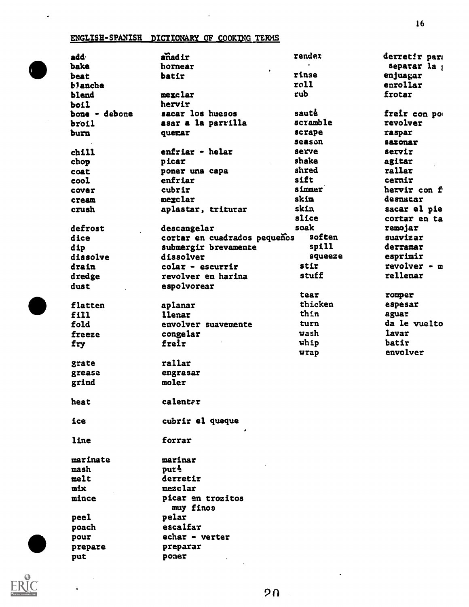#### ENGLISH-SPANISH DICTIONARY OF COOKING TERMS

 $\bullet$ 

 $\langle \rangle$ 

|   | add·          | anadir                       | render<br>$\bullet$ | derretir para  |
|---|---------------|------------------------------|---------------------|----------------|
| 0 | bake          | hornear<br>$\bullet$         |                     | separar la j   |
|   | beat          | batir                        | rinse               | enjuagar       |
|   | b!anche       |                              | roll                | enrollar       |
|   | blend         | mexclar                      | rub                 | frotar         |
|   | boil          | hervir                       |                     |                |
|   | bone - debone | sacar los huesos             | saute               | freir con po   |
|   | broil         | asar a la parrilla           | scramble            | revolver       |
|   | burn          | quemar                       | scrape              | raspar         |
|   |               |                              | season              | <b>Sazonar</b> |
|   | chill         | enfriar - helar              | serve               | servir         |
|   | chop          | picar                        | shake               | agitar         |
|   | coat          | poner una capa               | shred               | rallar         |
|   | cool          | enfriar                      | sift                | cernir         |
|   | cover         | cubrir                       | simmer              | hervir con f   |
|   | cream         | mexclar                      | skin                | desnatar       |
|   | crush         | aplastar, triturar           | skin                | sacar el pie   |
|   |               |                              | slice               | cortar en ta   |
|   | defrost       | descangelar                  | soak                | remojar        |
|   | dice          | cortar en cuadrados pequeños | soften              | suavizar       |
|   | dip           | submergir brevamente         | spill               | derramar       |
|   | dissolve      | dissolver                    | squeeze             | esprimir       |
|   | drain         | $colar - escurrir$           | stir                | revolver $-$ m |
|   | dredge        | revolver en harina           | stuff               | rellenar       |
|   | dust          | espolvorear                  |                     |                |
|   |               |                              | tear                | romper         |
|   | flatten       | aplanar                      | thicken             | espesar        |
|   | fill          | <b>llenar</b>                | thin                | aguar          |
|   | fold          | envolver suavemente          | turn                | da le vuelto   |
|   | freeze        | congelar                     | wash                | lavar          |
|   | fry           | freir                        | whip                | batir          |
|   |               |                              | wrap                | envolver       |
|   | grate         | rallar                       |                     |                |
|   | grease        | engrasar                     |                     |                |
|   | grind         | moler                        |                     |                |
|   |               |                              |                     |                |
|   | heat          | calenter                     |                     |                |
|   | ice           | cubrir el queque             |                     |                |
|   | line          | forrar                       |                     |                |
|   | marinate      | marinar                      |                     |                |
|   | mash          | pure                         |                     |                |
|   | melt          | derretir                     |                     |                |
|   | <b>mix</b>    | mezclar                      |                     |                |
|   | mince         | picar en trozitos            |                     |                |
|   |               | muy finos                    |                     |                |
|   | peel          | pelar                        |                     |                |
|   | poach         | escalfar                     |                     |                |
|   | pour          | echar - verter               |                     |                |
|   | prepare       | preparar                     |                     |                |
|   | put           | poner                        |                     |                |
|   |               |                              |                     |                |

 $\overline{\phantom{a}}$ 

 $\ddot{\phantom{0}}$ 

 $20 -$ 

 $\ddot{\phantom{1}}$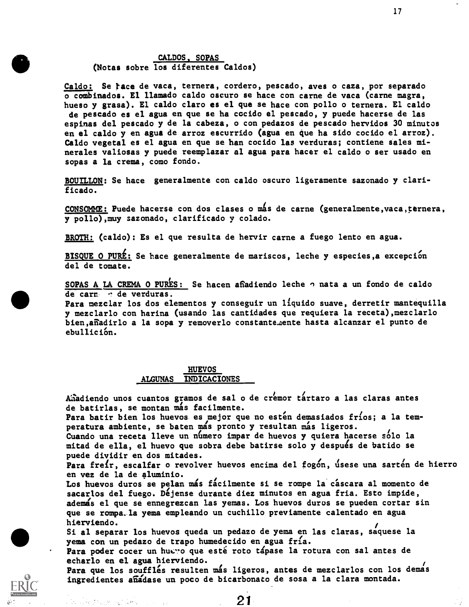#### CALDOS, SOPAS (Notas sobre los diferentes Caldos)

Caldo: Se race de vaca, ternera, cordero, pescado, aves o caza, por separado o combinados. El llamado caldo oscuro se hace con carne de vaca (came magra, hueso y grasa). El caldo claro es el qua se hace con pollo o ternera. El caldo de pescado es el agua en que se ha cocido el pescado, y puede hacerse de las espinas del pescado y de la cabeza, o con pedazos de pescado hervidos 30 minutos en el caldo y en agua de arroz escurrido (ague en que ha sido cocido el arroz). Caldo vegetal es el ague en que se ban cocido las verduras; contiene sales minerales valiosas y puede reemplazar al agua para hacer el caldo o ser usado en sopas a la creme, como fondo.

BOUILLON: Se hace generalmente con caldo oscuro ligeramente sazonado y clarificado.

CONSOMME: Puede hacerse con dos clases o mis de carne (generalmente,vaca,ternera, y pollo),muy sazonado, clarificado y colado.

BROTH: (caldo): Es el que resulta de hervir carne a fuego lento en ague.

BISQUE O PURÉ: Se hace generalmente de mariscos, leche y especies, a excepción del de tomate.

SOPAS A LA CREMA O PURES: Se hacen afiadiendo leche  $\gamma$  nata a un fondo de caldo de carn de verduras.

Para mezciar los dos elementos y conseguir un liquido suave, derretir mantequilla y mezclarlo con harina (usando las cantidades que requiera la receta), mezclarlo bien,afiedirlo a la sopa y removerlo constante.aente hasta alcanzar el punto de ebullición.

#### HUEVOS ALGUNAS INDICACIONES

Añadiendo unos cuantos gramos de sal o de cremor tartaro a las claras antes de batirlas, se montan más facilmente.

Para batir bien los huevos es mejor que no estén demasiados fríos; a la temperatura ambiente, se baten mas pronto y resultan mas ligeros.

Cuando una receta lleve un número impar de huevos y quiera hacerse sólo la mitad de ella, el huevo que sobra debe batirse solo y después de batido se puede dividir en dos mitades.

Para freir, escalfar o revolver huevos encima del fogón, úsese una sartén de hierro en vez de la de aluminio.

Los huevos duros se pelan más fácilmente si se rompe la cáscara al momento de sacarlos del fuego. Déjense durante diez minutos en agua fria. Esto impide, ademas el que se ennegrezcan las yemas. Los huevos duros se pueden cortar sin que se rompa.la yema empleando un cuchillo previamente calentado en agua hierviendo.

Si al separar los huevos queda un pedazo de yema en las claras, saquese la yema con un pedazo de trapo humedecido en agua fría.

Para poder cocer un huevo que esté roto tápase la rotura con sal antes de echarlo en el ague hierviendo.

Para que los soufflés resulten más ligeros, antes de mezclarlos con los demás ingredientes añadase un poco de bicarbonato de sosa a la clara montada.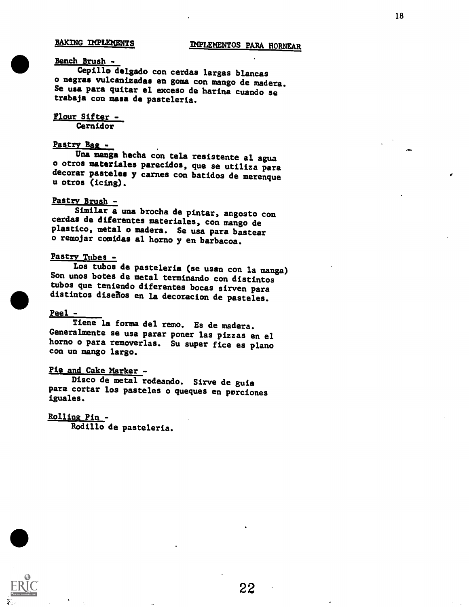#### Bench Brush -

Cepillo delgado con cerdas largas blancas o negras vulcanizadas en goma con mango de madera. Se usa para quitar el exceso de harina cuando se<br>trabaja con masa de pasteleria.

#### Flour Sifter - Cernidor

#### Pastry Paz -

Una manga hecha con tela resistente al agua o otros materiales parecidos, que se utiliza para decorar pasteles y carnes con batidos de merengue u otroa (icing).

#### Pastry Brush -

Similar a una brocha de pintar, angosto con cerdas de diferentes materiales, con mango de plastico, metal o madera. Se usa pare bastear o remojar comidas al horno y en barbacoa.

#### Pastry Tubes -

Los tubos de pasteleria (se usan con la manga) Son unos botes de metal terminando con distintos tubos que teniendo diferentes bocas sirven para distintos diseRos en la decoracion de pasteles.

#### Peel -

Tiene la forma del remo. Es de madera. Generalmente se usa parar poner las pizzas en el horno o pare removerlas. Su super fice es plano con un mango largo.

#### Pie and Cake Marker -

Disco de metal rodeando. Sirve de guia para cortar los pasteles o queques en porciones iguales.

#### Rollins Pin -

Rodillo de pasteleria.

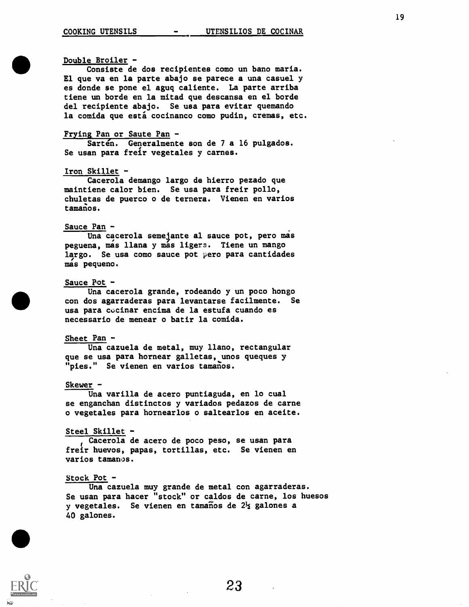#### Double Broiler -

Consiste de dos recipientes como un bano maria. El que va en la parte abajo se parece a una casuel y es donde se pone el aguq caliente. La parte arriba tiene un borde en la mitad que descansa en el borde del recipiente abajo. Se usa para evitar quemando la comida que está cocinanco como pudin, cremas, etc.

#### Frying Pan or Saute Pan -

Sarten. Generalmente son de 7 a 16 pulgados. Se usan para freir vegetales y carnes.

#### Iron Skillet -

Cacerola demango largo de hierro pezado que maintiene calor bien. Se usa para freir pollo, chuletas de puerco o de ternera. Vienen en varios tamanos.

#### Sauce Pan -

Una cacerola semejante al sauce pot, pero mas peguena, mas llana y más ligera. Tiene un mango largo. Se usa como sauce pot pero para cantidades mas pequeno.

#### Sauce Pot -

Una cacerola grande, rodeando y un poco hongo con dos agarraderas para levantarse facilmente. Se usa para cocinar encima de la estufa cuando es necessario de menear o batir la comida.

#### Sheet Pan -

Una cazuela de metal, muy llano, rectangular que se usa para hornear galletas, unos queques y "pies." Se vienen en varios tamanos.

#### Skewer -

Una varilla de acero puntiaguda, en lo cual se enganchan distinctos y variados pedazos de carne o vegetales para hornearlos o saltearlos en aceite.

#### Steel Skillet -

Cacerola de acero de poco peso, se usan para freir huevos, papas, tortillas, etc. Se vienen en varios tamanos.

#### Stock Pot -

Una cazuela muy grande de metal con agarraderas. Se usan para hacer "stock" or caldos de carne, los huesos y vegetales. Se vienen en tamaños de  $2\frac{1}{2}$  galones a 40 galones.

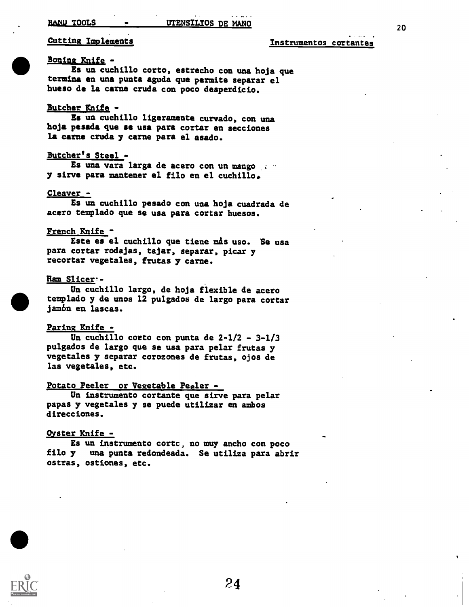#### Cutting Implements **Instrumentos** cortantes

#### Boning Knife -

Es un cuchillo corto, estrecho con una hoja que termina en una punts aguda que permits separar el hueso de la carne crude con poco desperdicio.

#### Butcher Knife -

Es un cuchillo ligeramente curvado, con una hoja pesada que se usa pars cortar en secciones la carne cruda y carne para el asado.

#### Butcher's Steel -

Es una vara large de acero con un mango y sirve para mantener el filo en el cuchillo.

#### Cleaver -

Es un cuchillo pesado con una hoja cuadrada de acero templado que se usa para cortar huesos.

#### French Knife -

Este es el cuchillo que tiene mas uso. Se usa pare cortar rodajas, tajar, separar, picar y recortar vegetales, frutas y carne.

#### Ram Slicer:-

Un cuchillo largo, de hoja flexible de acero templado y de unos 12 pulgados de largo para cortar jam6n en lascas.

#### Paring Knife -

Un cuchillo coeto con punta de 2-1/2 - 3-1/3 pulgados de largo que se usa para pelar frutas y vegetales y separar corozones de frutas, ojos de las vegetales, etc.

#### Potato Peeler or Vegetable Peeler -

Un instrumento cortante que sirve para pelar papas y vegetales y se puede utilizer en ambos direcciones.

#### Ovster Knife -

Es un instrumento cortc, no muy ancho con poco<br>filo y una punta redondeada. Se utiliza para abri una punta redondeada. Se utiliza para abrir ostras, ostiones, etc.

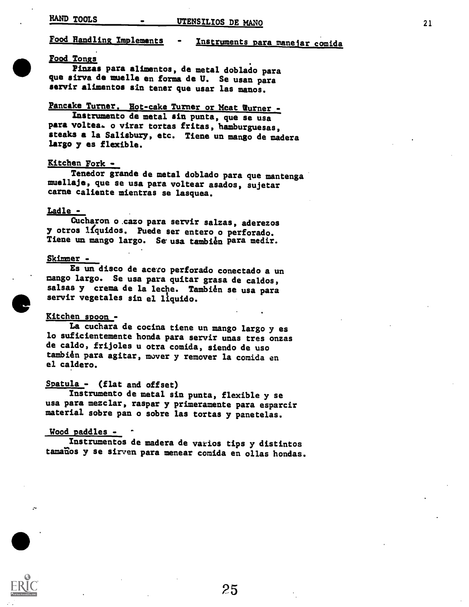### Food Handling Implements - Instruments para manejar comida

#### Food Tongs

Pinzas para alimentos, de metal doblado para que sirva de muelle en forma de U. Se usan para servir alimentos sin toner que usar las manos.

### Pancake Turner. Hot-cake Turner or Meat Turner -

Instrumento de metal sin punta, que se usa para voltea. o virar tortas fritas, hamburguesas, steaks a la Salisbuzy, etc. Tiene un mango de madera Largo y es flexible.

#### Kitchen Fork -

Tenedor grande de metal doblado para que mantenga muellaje, que se usa para voltear asados, sujetar carne caliente mientras se lasquea.

#### Ladle -

Cucharon o.cazo para servir salzas, aderezos y otros llquidos. Puede ser entero o perforado. Tiene un mango largo. Se usa tambien para medir.

#### Skimmer -

Es un disco de acero perforado conectado a un mango largo. Se usa para guitar grasa de caldos, salsas y crema de la leche. También se usa para servir vegetales sin el liquido.

#### Eltchen spoon. -

La cuchara de cocina tiene un mango largo y es lo suficientemente honda para servir unas tres onzas de caldo, frijoles u otra comida, siendo de uso también para agitar, mover y remover la comida en el caldero.

#### Spatula - (flat and offset)

Instrumento de metal sin punta, flexible y se usa para mezclar, raspar y primeramente para esparcir material sobre pan o sobre las tortas y panatelas.

#### Wood paddles -

Instrumentos de madera de varios tips y distintos tamaños y se sirven para menear comida en ollas hondas.



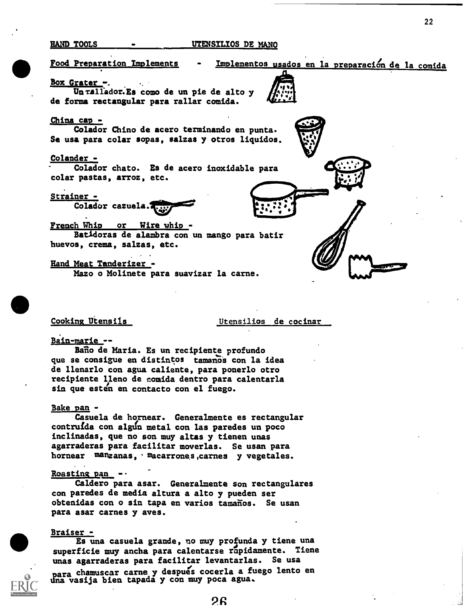#### HAND TOOLS UTENSILIOS DE MANO

22

Food Preparation Implements Implementos usados en la preparación de la comida Box Grater Un rallador. Es como de un pie de alto y de forma rectangular para rallar comida. China cap - Colador Chino de acero terminando en punta. Se usa pars colar sopas, salzas y otros liquidos. Colander - Colador chato. Ea de acero inoxidable para colar pastas, arroz, etc. Strainer - Colador cazuela. French Whip or Wire whip - Batidoras de alambra con un mango para batir huevos, crema, salzas, etc.

Hand Meat Tanderizer -

Mazo o Molinete para suavizar la carne.

Cooking Utensils Utensilios de cocinar

#### Bain-marie --

Baño de Maria. Es un recipiente profundo que se consigue en distintos tamanos con la idea de llenarlo con agua caliente, para ponerlo otro recipiente lleno de comida dentro para calentarla sin que esten en contacto con el fuego.

#### Bake pan -

Casuela de hornear. Generalmente es rectangular contruída con algun metal con las paredes un poco inclinadas, que no son muy altas y tienen unas agarraderas para facilitar moverlas. Se usan para hornear manzanas, macarrones, carnes y vegetales.

#### Roasting pan  $-$

Caldero para asar. Generalmente son rectangulares con paredes de media altura a alto y pueden ser obtenidas con o sin tapa en varios tamaños. Se usan para asar carnes y ayes.

#### Braiser -

Es una casuela grande, no muy profunda y tiene una superficie muy ancha para calentarse rapidamente. Tiene unas agarraderas para facilitar levantarlas. Se usa

una vasija biem chamuscar carne y despues cocerla a fuego lento en vasija bien tapada y con muy poca agua.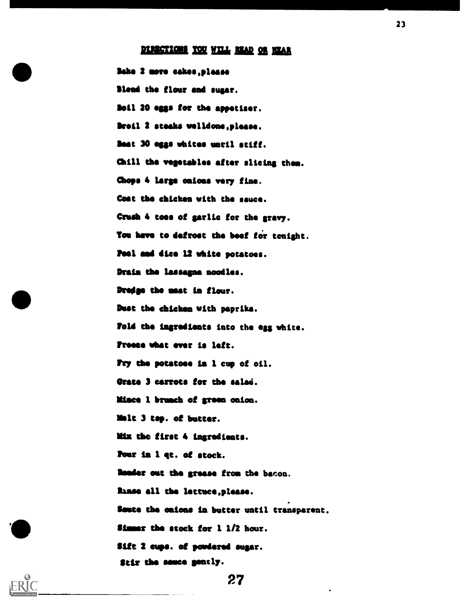### DIRECTIONS YOU WILL READ OR NEAR

23

Sake 2 mere eakes,pleaas Blend the flour and suzar. Soil 20 egsa for the appetiser. Broil 2 steaks welldone, please. Seat 30 esga whites until stiff. Chill the vegetables after slicing them. Chops 4 large onions very fine. Cost the chicken with the sauce. Crush 4 toes of garlic for the gravy. You have to defrost the beef for tonight. Peel and dice 12 white potatoes. Drain the lassagna noodles. Dredge the meat in flour. Dust the chicken with paprika. Vold the Ingredients into the egg white. Freese what ever is left. Pry the potatoes la 1 cup of oil. Orate 3 carrots tor the salad. Mince 1 brunch of green onion. lilt 3 tsp. of butter. Mix the first 4 ingredients. Pour In 1 qt. of stock. leader out the grease from the bacon. **finse all the lettuce,please.** Saute the caicas in butter until transparent. \$immer the stock for 1 1/2 hour. Sift 2 cups. of powdered sugar. Stir the sauce gently.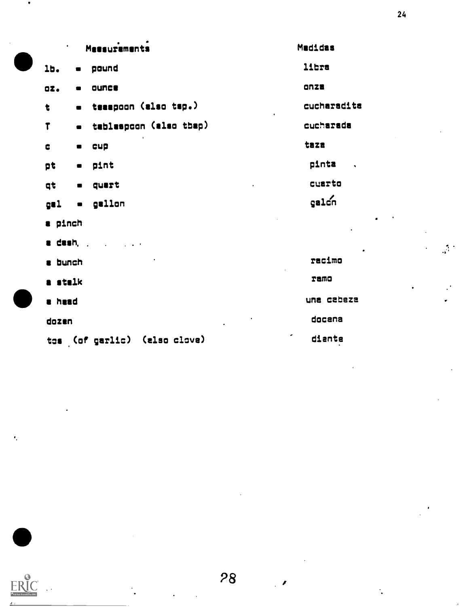| Messuramenta<br>$\bullet$ |                              |                              | Madidas                       |  |
|---------------------------|------------------------------|------------------------------|-------------------------------|--|
| 16.                       | $\blacksquare$               | pound                        | libra                         |  |
| 02.                       | $\blacksquare$               | ounce                        | <b>ONZE</b>                   |  |
| t                         | $\blacksquare$               | teaapoon (also tsp.)         | cucharadita                   |  |
| $\mathbf{r}$              | $\bullet$                    | tablespoon (also thep)       | cucharada                     |  |
| ¢                         | $\blacksquare$               | cup                          | taza                          |  |
| pt                        | $\bullet$                    | pint                         | pinta<br>$\ddot{\phantom{a}}$ |  |
| qt                        | $\blacksquare$               | quert                        | cuarto                        |  |
| gal                       | $\qquad \qquad \blacksquare$ | gallon                       | galon                         |  |
| a pinch                   |                              |                              |                               |  |
| a dash,                   |                              |                              |                               |  |
| a bunch                   |                              |                              | racimo                        |  |
| a stalk                   |                              |                              | ramo                          |  |
| a head                    |                              |                              | una cabeza                    |  |
| dozen                     |                              |                              | docena                        |  |
|                           |                              | tos (of garlic) (also clove) | ٠<br>diante                   |  |



 $\ddot{\cdot}$ 

 $\bar{\psi}$ 

 $\mathcal{L}^{\text{eff}}$ 

÷.

 $\bullet$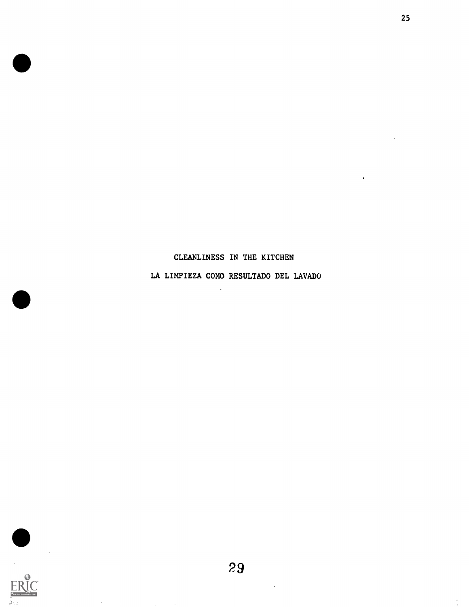#### CLEANLINESS IN THE KITCHEN

25

LA LIMPIEZA COMO RESULTADO DEL LAVADO

 $\ddot{\phantom{1}}$ 



 $\sim$ 

 $\mathcal{L}^{\mathcal{L}}(\mathbf{A})$  and  $\mathcal{L}^{\mathcal{L}}(\mathbf{A})$  and  $\mathcal{L}^{\mathcal{L}}(\mathbf{A})$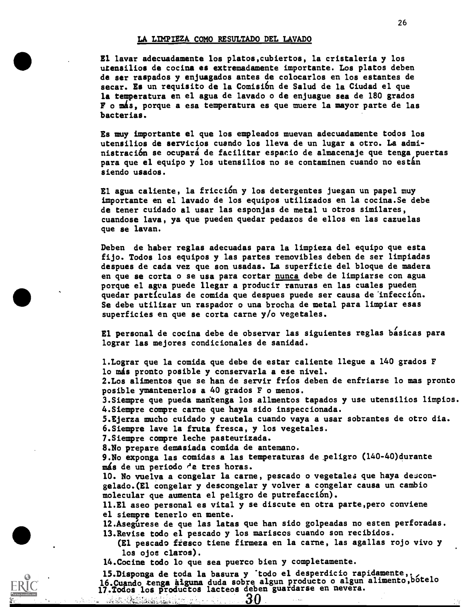#### LA LIMPIEZA COMO RESULTADO DEL LAVADO

El laver adecuadamente los platos,cubiertos, la cristaleria y los utensilios de cocina es extremadamente importante. Los platos deben de ser raspados y enjuagados antes de colocarlos en los estantes de secar. Es un requisito de la Comisión de Salud de la Ciudad el que la temperatura en el agua de lavado o de enjuague sea de 180 grados F o más, porque a esa temperatura es que muere la mayor parte de las bacterias.

Es muy importante el que los empleados muevan adecuadamente todos los utensilios de servicios cuando los lleva de un lugar a otro. La administración se ocupará de facilitar espacio de almacenaje que tenga puertas para que el equipo y los utensilios no se contaminen cuando no están siendo usados.

El agua caliente, la fricción y los detergentes juegan un papel muy importante en el lavado de los equipos utilizados en la cocina.Se debe de tener cuidado al usar las esponjas de metal u otros similares, cuandose lava, ya que pueden quedar pedazos de ellos en las cazuelas que se lavan.

Deben de haber reglas adecuadas para la limpieza del equipo que esta fijo. Todos los equipos y las partes removibles deben de ser limpiadas despues de cada vez que son usadas. La superficie del bloque de madera en que se corta o se usa para cortar nunca debe de limpiarse con agua porque el agua puede llegar a producir ranuras en las cuales pueden quedar partículas de comida que despues puede ser causa de infección. Se debe utilizar un raspador o una brocha de metal para limpiar esas superficies en que se corta carne y/o vegetales.

El personal de cocina debe de observar las siguientes reglas básicas para lograr las mejores condicionales de sanidad.

1.Lograr que la comida que debe de estar caliente llegue a 140 grados F lo más pronto posible y conservarla a ese nivel. 2.Los alimentos que se han de servir frfos deben de enfriarse lo mas pronto posible ymantenerlos a 40 grados F o menos. 3.Siempre que pueda mantenga los allmentos tapados y use utensilios limpios. 4.Siempre compre carne que haya sido inspeccionada. 5.Ejerza mucho cuidado y cautela cuando vaya a usar sobrantes de otro dia. 6.Siempre lave la fruta fresca, y los vegetales. 7.Siempre compre leche pasteurizada. 8.No prepare demasiada comida de antemano. 9.No exponga las comidas a las temperaturas de \_peligro (140-40)durante más de un periodo de tres horas. 10. No vuelva a congelar la carne, pescado o vegetales que haya descongelado.(E1 congelar y descongelar y volver a congelar causa un cambio molecular que aumenta el peligro de putrefacción). 11.E1 aseo personal es vital y se discute en otra parte,pero conviene el siempre tenerlo en mente. 12. Asegúrese de que las latas que han sido golpeadas no esten perforadas. 13.Revise todo el pescado y los mariscos cuando son recibidos. (El pescado fiesco tiene firmeza en la carne, las agallas rojo vivo y los ojos claros). 14.Cocine todo lo que sea puerco bien y completamente. 15.Disponga de toda la basura y *todo el desperdicio rapidamente, estado* 16. Cuando tenga alguna duda sobre algun producto o algun alimento, botelo

17.Todos los productos lacteos deben guardarse en nevera. 30

Well Residence is a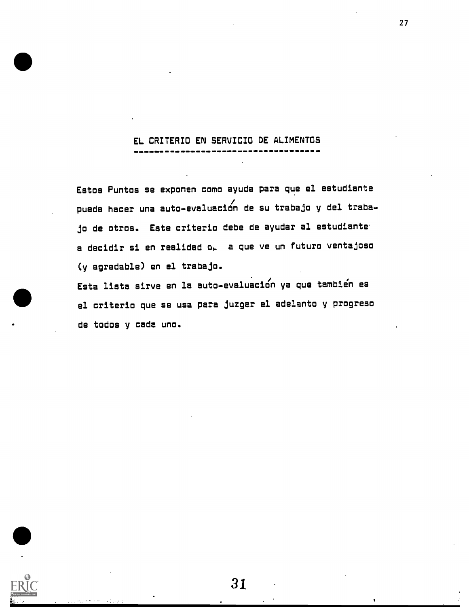### EL CRITERIO EN SERVICIO DE ALIMENTOS

Estos Puntos se exponen coma ayuda para que el estudiante / puede hacer una auto-evaluacian de su trabajo y del traba-Jo de otros. Este criteria debe de ayudar al estudiante a decidir si en realidad  $o_{r}$  a que ve un futuro ventajoso Cy agradable) en el trabaja.

Esta lista sirve en la auto-evaluacicin ya que tambien es el criteria que se usa pars juzgar el adelanto y progreso de todos y cads uno.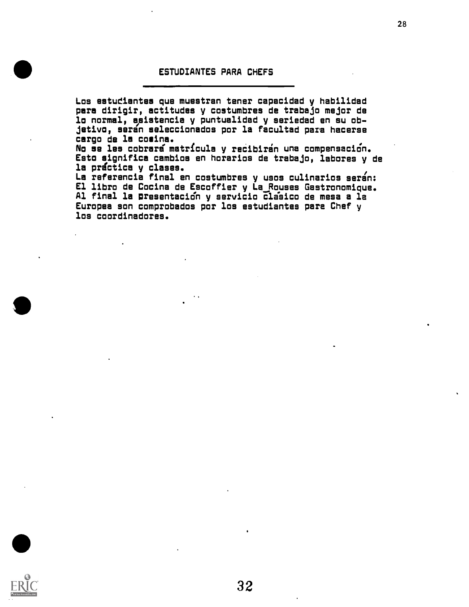#### ESTUDIANTES PARA CHEFS

Los estudiantes que muestran tener capacidad y habilidad pare dirigir, actitudes y costumbres de trabajo major de lo normal, asistencia y puntualidad y seriedad en su objetivo, saran seleccionados por la facultad pare hacerse cargo de la cosine.

No se les cobrará matrícula y recibirán una compensación. Esto significa cambios en horarios de trabajo, labores y de la práctica y clases.

La referencia final en costumbres y usos culinarios seran: El libro de Cocina de Escoffier y La Rouses Gestronomique. Al final la presentación y servicio clasico de mesa a la Europea son comprobados por los estudiantes pare Chef y los coordinadores.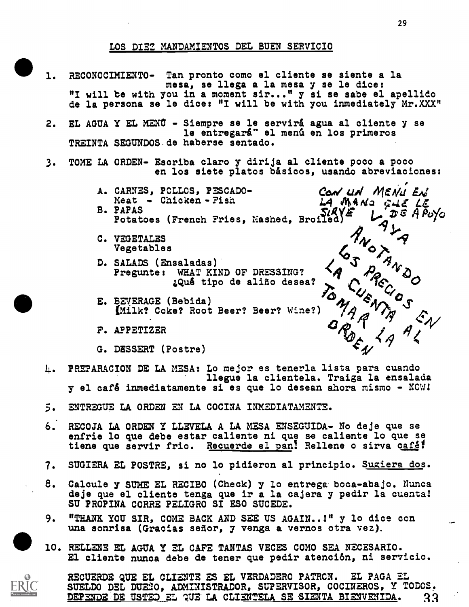#### LOS DIEZ MANDAMIENTOS DEL BUEN SERVICIO

- 1. RECONOCIMIENTO- Tan pronto como el cliente se siente a la mesa, se llega a la mesa y se le dice: "I will be with you in a moment sir..." y si se sabe el apellido de la persona se le dice: "I will be with you inmediately Mr.XXX"
- 2. EL AGUA Y EL MENÚ Siempre se le servirá agua al cliente y se le entregará" el menú en los primeros TREINTA SEGUNDOS.de haberse sentado.
- 3. TOME LA ORDEN- Escriba claro y dirija al cliente poco a poco en los siete platos básicos, usando abreviaciones:
	- A. CARNES, PCLLOS, PESCADO-<br>Meat Chicken Fish LA Mado cull IX Meat - Chicken-Fish LA MAND GUE LE<br>B. PAPAS (Tuesda Price, Nechod Profest) LA DE A Puyo B. PAPAS ,  $\overline{S} \mathcal{A} \mathcal{A} \mathcal{A} \mathcal{A}$ <br>B. PAPAS ,  $\overline{S} \mathcal{A} \mathcal{A} \mathcal{A} \mathcal{A}$ Potatoes (French Fries, Mashed, Broiled)
	-
	- C. VEGETALES  $\begin{matrix} \gamma & \gamma \\ \gamma & \gamma \end{matrix}$
	- Pregunte: WHAT KIND OF DRESSING? D. SALADS (Ensaladas) ¿Qué tipo de aliño desea?
	- E. BEVERAGE (Bebida)<br>(Milk? Coke? Root Beer? Beer? Wine?) phymaum (Beblua)<br>(Milk? Coke? Root Beer? Beer? Wine?) 74 A
	- F. APPETIZER
	- G. DESSERT (Postre)

4. PREPARACION DE LA MESA: Lo mejor es tenerla lista para cuando ilegue la clientela. Traiga la ensalada y el cafe inmediatamente si es que lo desean ahora mismo - NCW1

- 5. ENTREGUE LA ORDEN EN LA COCINA INMEDIATAMENTE.
- 6. RECOJA LA ORDEN Y LLEVELA A LA MESA ENSEGUIDA- No deje que se enfrie lo que debe estar caliente ni que se caliente lo que se tiene que servir frio. Recuerde el pan! Rellene o sirva café!
- 7. SUGIERA EL POSTRE, si no lo pidieron al principio. Sugiera dos.
- 8. Calcule y SUME EL RECIBO (Check) y lo entrega boca-abajo. Nunca deje que el cliente tenga que ir a la cajera y pedir la cuental SU PROPINA CORRE PELIGRO SI ESO SUCEDE.
- 9. "THANK YOU SIR, COME BACK AND SEE US AGAIN..1" y lo dice con una sonrisa (Gracias señor, y venga a vernos otra vez).
- 10. RELLENE EL AGUA Y EL CAFE TANTAS VECES COMO SEA NECESARIO. El clients nunca debe de tener que pedir atención, ni servicio.



RECUERDE ONE EL CLIENTS ES EL VERDADERO PATRCN. EL PAGA EL SUELDO DEL DUENO, ADMINISTRADOR, SUPERVISOR, COCINEROS, Y TODOS. DEPENDE DE USTED EL QUE LA CLIENTELA SE SIENTA BIENVENIDA. 33

 $4\sqrt{3}$ 

 $\forall A \in \mathcal{A}$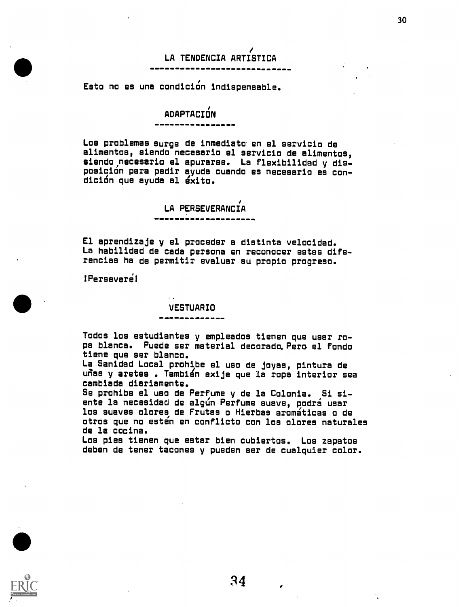## LA TENDENCIA ARTISTICA

Esto no es una condición indispensable.

### ADAPTACION

Los problemas surge de inmedieto en el servicio de alimentos, siendo neceseria el servicio de alimentos, siendo,neceserio el apurarse. La flexibilidad y disposicidn pare pedir ayuda cuando es necesario es condición que ayuda al éxito.

LA PERSEVERANCIA

El aprendizaje y el proceder a distinta velocidad. La habilidad de cada persona en reconocer estas diferencias ha de permitir evaluar su propio progreso.

!Persevere!

#### VESTUARIO

Todos los estudiantes y empleados tienen que usar rope blenca. Puede ser material decorado.Pero el fondo tiene que ser blanco.

La Sanidad Local prohipe el uso de joyas, pintura de uñas y aretes . También exije que la ropa interior sea cambiada diariamente.

Se prohibe el uso de Perfume y de la Colonia. ,Si siente la necesidad de algún Perfume suave, podrá usar los suaves dares, de Frutas a Hierbas aramaticas a de otros que no esten en conflicto con los olores naturales de le cocina.

Los pies tienen que estar bien cubiertos. Los zapatos deben de tener tacones y pueden ser de cualquier color.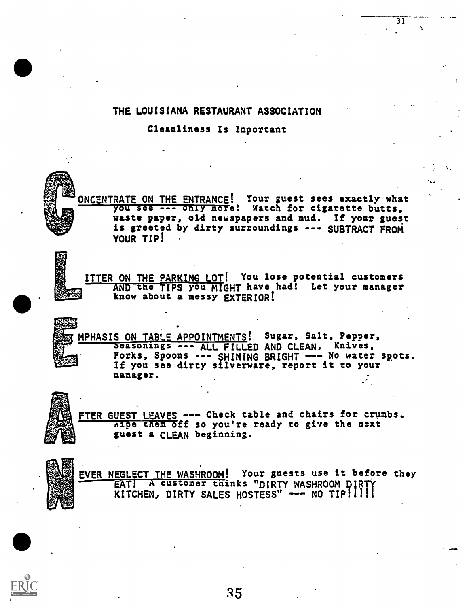#### THE LOUISIANA RESTAURANT ASSOCIATION

Cleanliness Is Important

ONCENTRATE ON THE ENTRANCE! Your guest sees exactly what you see --- only more! Watch for cigarette butts. waste paper, oLd newspapers and mud. If your guest is greeted by dirty surroundings --- SUBTRACT FROM YOUR TIP!

31

ITTER ON THE PARKING LOT! You lose potential customers AND the TIPS you MIGHT have had! Let your manager know about a messy EXTERIOR!

MPHASIS ON TABLE APPOINTMENTS! Sugar, Salt, Pepper,<br>Seasonings --- ALL FILLED AND CLEAN, Knives, Forks, Spoons --- SHINING BRIGHT --- No water spots. If you see dirty silverware, report it to your manager.

FTER GUEST LEAVES --- Check table and chairs for crumbs.  $\overline{n}$ ipe them off so you're ready to give the next guest a CLEAN beginning.



EVER NEGLECT THE WASHROOM! Your guests use it before they EAT! A customer thinks "DIRTY WASHROOM DIRTY KITCHEN, DIRTY SALES HOSTESS" --- NO TIP!!!!!

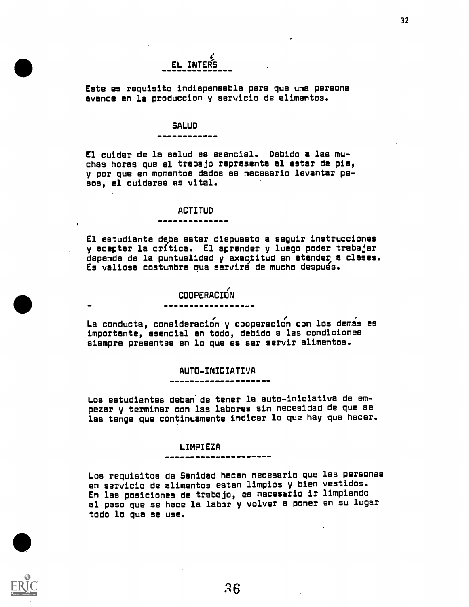# EL INTERS

Este es requisito indispensable pare que una persona avance en la produccion y servicio de alimentos.

#### **SALUD**

-

El cuidar de la salud es esencial. Debido a las muchas horas que el trabajo representa el ester de pie, y por que en momentos dodos es necesario levanter pesos, el cuidarse es vital.

#### ACTITUD

El estudiante dsbe ester dispuesto a seguir instrucciones . y aceptar la critica. El aprender y luego poder trabajar depende de la puntuelidad y exactitud en atander a clases. Es valiosa costumbre que servira de mucho despues.

#### **COOPERACIÓN**

La conducta, consideración y cooperación con los demas es importante, esencial en todo, debido a las condiciones siempre presentes en lo que es ser servir alimentos.

#### AUTO-INICIATIVA

Los estudiantes deben' de tener la auto-iniciativa de empezar y terminar con las labores sin necesidad de que se les tenga que continuamente indicar lo que hay que hacer.

#### LIMPIEZA

Los requisitos de Sanidad hacen necesario que las personas en servicio de alimentos esten limpios y bien vestidos. En las posiciones de trebajo, es necesario ir limpiando al paso que se hace la labor y volver a poner en su lugar todo lo que se use.



 $\bullet$  the contract of  $\bullet$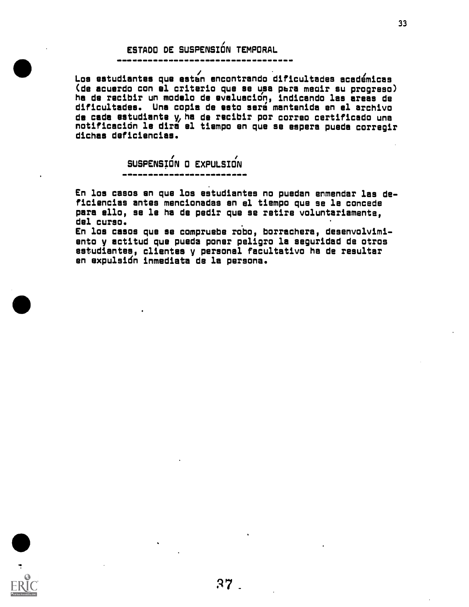## ESTADO DE SUSPENSIÓN TEMPORAL

Los estudiantes que estbn encontrando dificultades acedemices (de acuerdo con el criteria que se ups pbra meair su progreso) ha de recibir un modelo de evaluecion, indicando las areas de dificultades. Una copia de seta sera mantenida en el archivo de cada estudiante y, ha de recibir por correo certificado una notificacidn le dire el tiempo en que se gapers puede corregir cliches deficiencies.

SUSPENSIÓN O EXPULSION

En los casos en que los estudiantes no puedan enmendar las deficiencies antes mencionadas en el tiempo que se le concede pare ello, se le ha de pedir que se retire voluntariamente, del cursa. .

En los casos que se compruebe robo, borrachera, desenvolvimio nto y actitud quo pueda poner peligro la seguridad de otras e studiantes clientes y personal facultativo ha de resultar en expulsión inmediata de la persona.

:17

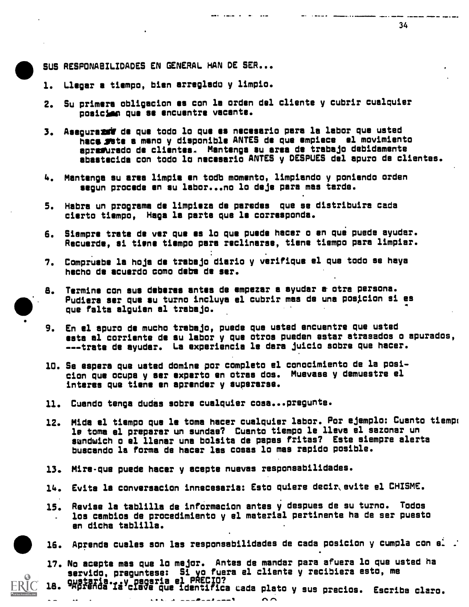SUS RESPONABILIDADES EN GENERAL HAN DE SER...

- 1. Lleger a tiempo, bien arreglada y limpio.
- 2. Su primers obligacion es con le orden del cliente y cubrir cualquier posicliem qua se encuentre vacente.
- 3. Aseguresgif de qua todo lo qua es necesario pars la labor quo usted hace ste a mano y disponible ANTES de que empiece el movimiento apraftrado de clientes. Montana su area de trabajo dabidamente sbastecida con todo lc necesario ANTES y OESPUES del apuro de clientas.

and calls a second seat

and company

- 4. Mantanga su area limpia en todb momento, limpiando y poniendo orden segun precede en su labor...no lo deje pars mos tarde.
- 5. Habra un programa de limpisza de parades que se distribuira cada cierto tismpo, Naga la parts qua le corresponds.
- 6. Siampre trete de ver qua es la quo puede hacer o en que puede ayudar. Recuerde, si tiene tiempo pars reclinerse, tisne tiempo pare limpiar.
- 7. Comprusbe la hojs de trabajo diario y verifiqus el qua todo se hays hscho de scuardo come dabs de ser.
- 8. Termine con sus deberes antes de empezar a syudar a otra persona. Pudiera ser que su turno incluya el cubrir mas de una posicion si es que felts alguisn al trsbajo.
- 9. En el apuro de mucho trabajo, puede quo usted ancuentre que usted seta al corrients de su labor y qua otros pueden ester atrasados o apurados, -.trate de ayudar. La experiencia le dare juicio sabre que hacer.
- 10. Se espera que ustsd domine por completo el conocimiento de la posicion que ocupa y ser experto en otras dos. Muevase y demuestre el interes qua tiene en aprender y superarse.
- 11. Cuendo tenga dudes sabre cualquier cosa...pregunte.
- 12. Mida al tiempo que le tome hacer cualquisr labor. Pon ejemplo: Cuanto tiempt le toma el preparar un sundae? Cuanto tiempo le lleva el sazonar un sandwich o el llenar una bolsita de papas fritas? Este siempre alerta buscando la forma de hacer las doses lo mas rapido posible.
- 13. Mire-que puede hacer y acepte nuevas responsabilidades.
- 14. Evite la convereacion innecesaria: Esto quiere decir,evite el CHISME.
- 15. Revise la tablilla de infOrmacion antes y despues de su turno. Todos los cambios de procedimiento y el material pertinente ha de ser puesto en dicha tablilla.
- 16. Aprenda cuales son las responsabilidades de cada posicion y cumpla con e $\dot{ }$  .
- 17. No acepts mas que lo major. Antes de mender para afuera lo que usted ha servido, preguntese: 51 yo fuera el cliente y recibiera esto, me 18. gustaria...y pagaria el PRECIO?<br>18. gustanda la clave que identifica cada pla
- lave que identifica Lade plata y sus precios. Escriba clam. -



 $\blacksquare$ 

 $\sim$   $\sim$ 

 $\overline{a}$ 

 $\sim$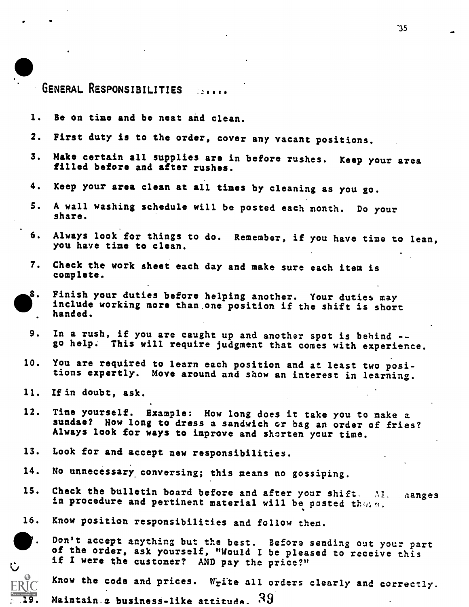### GENERAL RESPONSIBILITIES :....

- 1. Be on time and be neat and clean.
- 2. First duty is to the order, cover any vacant positions.
- 3. Make certain all supplies are in before rushes. Keep your area filled before and after rushes.
- 4. Keep your area clean at all times by cleaning as you go.
- S. A wall washing schedule will be posted each month. Do your share.
- 6. Always look for things to do. Remember, if you have time to lean, you have time to clean.
- 7. Check the work sheet each day and make sure each item is complete.
- Finish your duties before helping another. Your duties may 8. include working more than one position if the shift is short handed.
	- 9. In a rush, if you are caught up and another spot is behind go help. This will require judgment that comes with experience.
- 10. You are required to learn each position and at least two positions expertly. Move around and show an interest in learning.
- 11. Ifin doubt, ask.
- 12. Time yourself. Example: How long does it take you to make a sundae? How long to dress a sandwich or bag an order of fries? Always look for ways to improve and shorten your time.
- 13. Look for and accept new responsibilities.
- 14. No unnecessary conversing; this means no gossiping.
- 15. Check the bulletin board before and after your shift. 'M. aanges in procedure and pertinent material will be posted thein.
- 16. Know position responsibilities and follow them.



Don't accept anything but the best. Before sending out your part of the order, ask yourself, "Would I be pleased to receive this if I were the customer? AND pay the price?"



 $RIC$  Know the code and prices. Write all orders clearly and correctly.

19. Maintain a business-like attitude.  $39$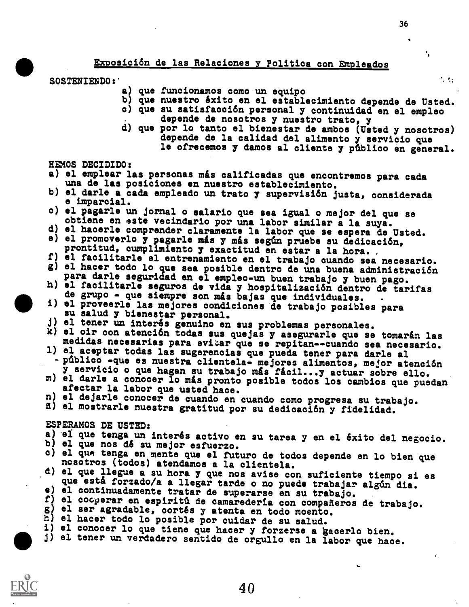Exposici6n de las Relaciones y Politica con Empleados

SOSTENIENDO:'

- a) que funcionamos como un equipo
- b) que nuestro êxito en el establecimiento depende de Usted.
- c) que su satisfacción personal y continuidad en el empleo depende de nosotros y nuestro trato, y
- d) quo por lo tanto el bienestar de ambos (Usted y nosotros) depende de la calidad del alimento y servicio que le ofrecemos y demos al cliente y pfiblico en general.

HEMOS DECIDIDO:

- a) el emplear las personas más calificadas que encontremos para cada una de las posiciones en nuestro establecimiento.
- b) el darle a cada empleado un trato y supervisión justa, considerada e imparcial.
- c) el pagarle un jornal o salario que sea igual o mejor del qua se
- d) el hacerle comprender claramente la labor que se espera de Usted.
- e) el promoverlo y pagarle m&s y m&s segdn pruebe su dedicación, prontitud, cumplimiento y exactitud en ester a la hora.
- f) el facilitarle el entrenamiento en el trabajo cuando sea necesario.
- g) el hacer todo lo que sea posible dentro de una buena administración<br>para darle seguridad en el empleo-un buen trabajo y buen pago.
- h) el facilitarle seguros de vida y hospitalización dentro de tarifas de grupo que siempre son más bajas que individuales.
- i) el proveerle las mejores condiciones de trabajo posibles para<br>su salud y bienestar personal.<br>j) el tener un interés genuino en sus problemas personales.
- 
- k) el oir con atención todas sus quejas y asegurarle que se tomarán las medidas necesarias para evitar que se repitan--cuando sea necesario.
- 1) el aceptar todas las sugerencias que pueda tener para darle al - público -que es nuestra clientela- mejores alimentos, mejor atención<br>y servicio o que hagan su trabajo más fácil...y actuar sobre ello.
- m) el darle a conocer lo más pronto posible todos los cambios que puedan afectar la labor que usted hace.
- n) el dejarle conocer de cuando en cuando como progresa su trabajo.<br>A) el mostrarle nuestra gratitud por su dedicación y fidelidad.
- 

#### ESPERAMOS DE USTED:

- a) el que tenga un interés activo en su tarea y en el éxito del negocio.<br>b) el que nos dé su mejor esfuerzo.
- 
- c) el que tenga en mente que el futuro de todos depende en lo bien que nosotros (todos) atendamos a la clientela.
- d) el que llegue a su hora y que nos avise con suficiente tiempo si es
- 
- e) el continuadamente tratar de superarse en su trabajo.<br>f) el cocoerar en espiritú de camaredería con compañeros de trabajo.<br>g) el ser agradable, cortés y atenta en todo moento.<br>h) el hacer todo lo posible por cuidar de s
- 
- 
- 
- j) el tener un verdadero sentido de orgullo en la labor que hace.



 $\mathcal{F}_\mathrm{c}$  ,  $\mathcal{F}_\mathrm{c}$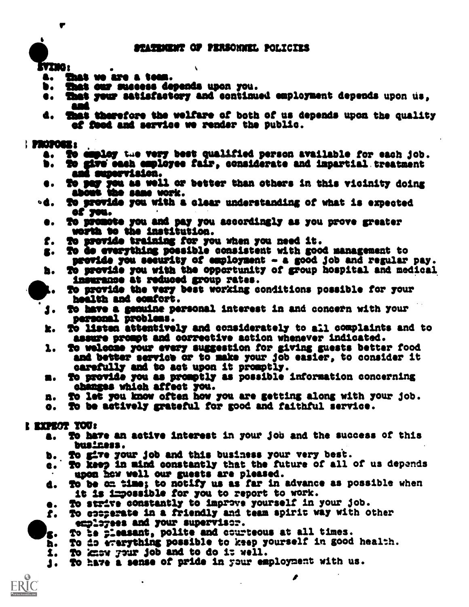tvino :

- a. That ve are a team.<br>b. That our success de
- b. That our success depends upon you.<br>e. That your satisfactory and continu
- That your satisfactory and continued employment depends upon us. amd
- 4. ghat therefore the welfare of both of us depends upon the quality af feed and service we render the public.

#### PlIOPOMIs

- a. To ampley the very best qualified person available for each job.<br>b. To give each employee fair, considerate and impartial treatment
- to give sash employee fair, considerate and impartial treatment and supervision.
- e. To pay you as well or better than others in this vicinity doing about the same work.
- od. To provide you with a clear understanding of what is expected of you. of yes.
	- O. To promote you and pay you accordingly as you prove 'greater worth to the institution.
	- f. To provide training for you when you need it.
	- g. To do everything possible consistent with good management to provide you security of employment - a good job and regular pay.
	- h. To provide you with the opportunity of group hospital and medical insurance at reduced group rates.
- **R.** To provide the very best working conditions possible for your health and oomfort.
	- 'J. TO have a genuine personal interest in and concern with your personal problems.
	- k. To listen attentively and considerately to all complaints and to assure prompt and correetive action whenever indicated.
	- 1. To welecse your every suggestion for giving guests better food and better service or to make your job easier, to consider it carefully end to act upon it promptly.
	- m. To provide you as promptly as possible information concerning obenges which affect you.
	- n. To let you know often how you are getting along with your job.
	- o. To be astively grateful far good and faithful service.

### EXPEOT TOO:

- a. To have an active interest in your job and the success of this business.
- b. To give your job and this business your very best.
- c.. To keep in mind constantly that the future of all of us depends upon hew well our guests are pleased.
- d. TO be on time; to notify us as far in advance as possible when it is impossible for you to report to work.
- e. To strive constantly to improve yourself in your job.
- f. To comperate in a friendly and team spirit way with other employees and your supervisor.
- To be pleasant, polite and courteous at all times.
- $10.107$ h. To do everything possible to keep yourself in good health.
	- 1. To know your job and to do it well.
	- 1. To have a sense of pride in your employment with us.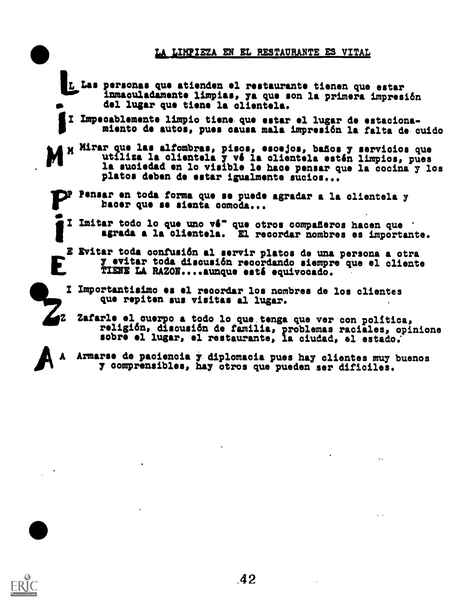### LA LIMPIEZA EN EL RESTAURANTE ES VITAL

- L Las personas que atienden el restaurante tienen que estar<br>inmaculadamente limpias, ya que son la primera impresión del lugar quo tione la cliontela.
- III Impecablemente limpio tions quo sitar el lugar do estacionamiento do autos, puss causa mala improsift la falta de cuido
- Mirar que las alfombras, pisos, esoejos, baños y servicios que utiliza la clientela y vé la clientela estén limpios, pues . la suciedad on lo visible le hace pensar quo la cocina y los platos deben do star igualmonte sucios...
	- 1F)11 Pensar on toda forma quo so puede agradar a la clientela y bacer quo so sionta comoda...
		- Imitar todo lo que uno vé" que otros compañeros hacen que i agrada a la clientela. El recordar nombres es importante.
		- Evitar toda confusift al sorvir platos de una persona a otra y evitar toda discusión recordando siempre que el cliente TIENE LA RAZON....aunque esté equivocado.
		- I Importantisimo es el recordar los nombres de los clientes quo repiten sus visitas al lugar.
- z Zafarle el cuerpo a todo lo que tenga que ver con política,<br>con política, disentifica de familia enchante posible en unidad religi6n, discusift de familia, problemas raciales, opinione sobre el lugar, el restaurante, la ciudad, el estado.
- 4111k Armarse de paciencia y diplomacia pues hay clientes muy buenos y comprensibles, hay otros que pueden ser dificiles.

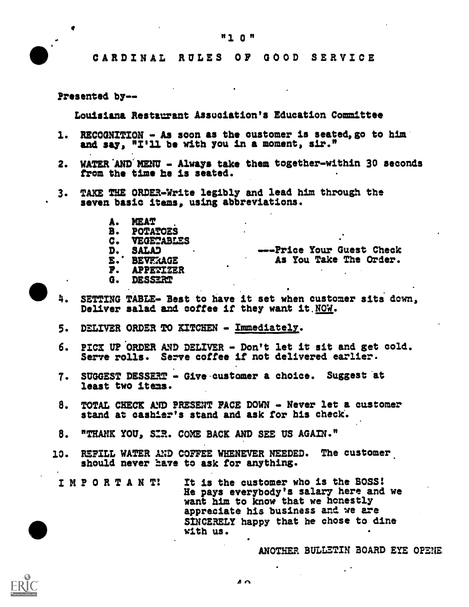"1 0 "

Presented by--

 $\bullet$ 

Louisiana Restaurant Association's Education Committee

- 1. RECOGNITION As soon as the customer is seated, go to him and say, "I'll be with you in a moment, sir."
- 2. WATER AND MENU Always take them together-within 30 seconds from the time he is seated.
- 3. TAKE THE ORDER-Write legibly and lead him through the seven basic items, using abbreviations.
	- A. MEAT<br>B. POTA!
	- B. POTATOES<br>C. VEGETABLI
	- C. VEGETABLES<br>D. SALAD
	-
	- D. SALAD
	- E. BEVERAGE<br>F. APPETIZEF
	- **P. APPETIZER<br>G. DESS<del>ER</del>T** G. DESSERT
		-
- 4. SETTING TABLE- Best to have it set when customer sits down, Deliver salad and coffee if they want it.NOW.
- 5. DELIVER ORDER TO KITCHEN Immediately.
- 6. PICK UP ORDER AND DELIVER Don't let it sit and get cold. Serve rolls. Serve coffee if not delivered earlier.
- 7. SUGGEST DESSERT Give.custamer a choice. Suggest at least two items.
- 8. TOTAL CHECK AND PRESENT FACE DOWN Never let a customer stand at cashier's stand and ask for his check.
- 8. "THANK YOU, SIR. COME BACK AND SEE US AGAIN."
- 10. REFILL WATER AND COFFEE WHENEVER NEEDED. The customer should never have to ask for anything.
	- IMPORTAN T! It is the customer who is the BOSS! He pays everybody's salary here and we want him to know that we honestly appreciate his business and we are SINCERELY happy that he chose to dine with US.

ANOTHER BULLETIN BOARD EYE OPENE,

-- -Price Your Guest Check As You Take The Order.

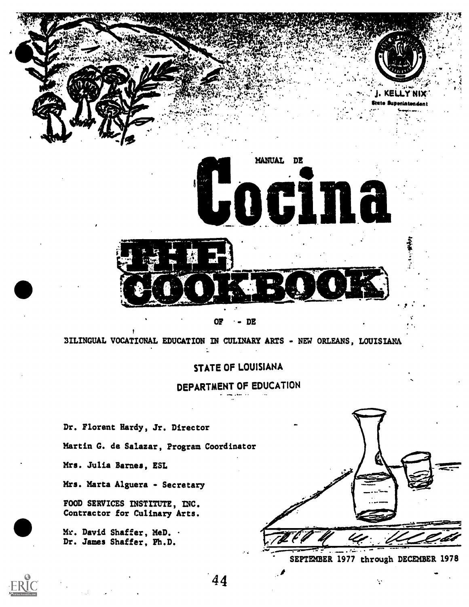

OF -- DE

BILINGUAL VOCATIONAL EDUCATION IN CULINARY ARTS - NEW ORLEANS, LOUISIANA

### STATE OF LOUISIANA

DEPARTMENT OF EDUCATION

Dr. Florent Hardy, Jr. Director Martin G. de Salazar, Program Coordinator Mrs. Julia Barnes, ESL Mrs. Marta Alguera - Secretary FOOD SERVICES INSTITUTE, INC. Contractor for Culinary Arts.

 $Mr.$  David Shaffer, MeD.  $\cdot$ Dr. James Shaffer, Ph.D.



 $\ddot{\phantom{a}}$ 



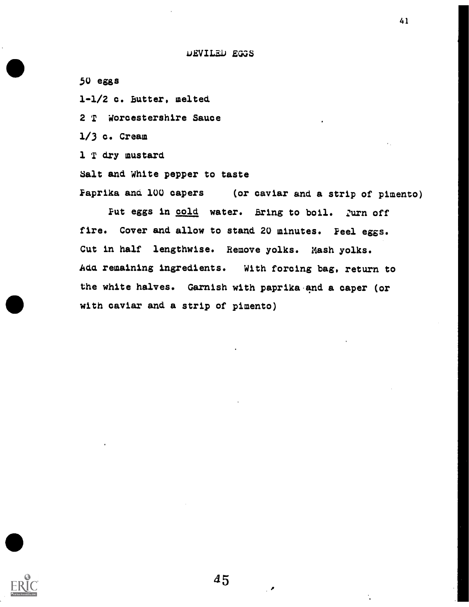AJEVILED EGGS

50 eggs 1-1/2 c. butter, melted 2 T Worcestershire Sauce 1/3 c. Cream 1 T dry mustard Salt and White pepper to taste Faprika ana 100 capers (or caviar and a strip of pimento)

Put eggs in cold water. Bring to boil. Zurn off fire. Cover and allow to stand 20 minutes. Feel eggs. Cut in half lengthwise. Remove yolks. Mash yolks. Ada remaining ingredients. With forcing bag, return to the white halves. Garnish with paprika-and a caper (or with caviar and a strip of pimento)

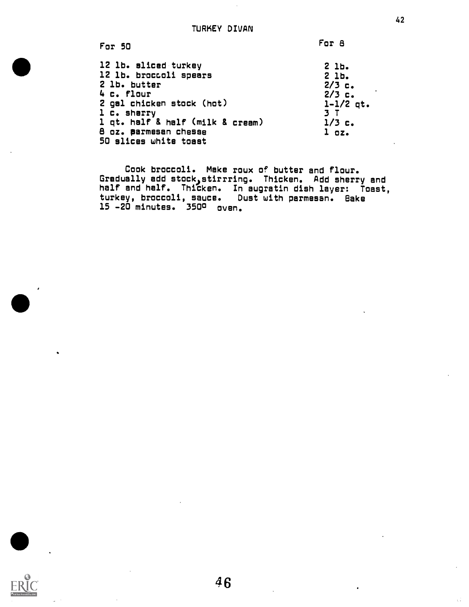For 50 12 lb. sliced turkey 12 lb. broccoli spears 2 lb. butter 4 c. flour 2 gal chicken stock (hot) 1 c. sherry 1 qt. half & half (milk g cream) 8 oz. parmesan chesse 50 slices white toast For 8 2 lb. 2 lb. 2/3 c. 2/3 c. 1-1/2 qt. 3 T 1/3 c. 1 oz.

Cook broccoli. Make roux of butter and flour. Gradually add stock)stirrring. Thicken. Add sherry end half and half. Thicken. In augratin dish layer: Toast, turkey, broccoli, sauce. Dust with parmesan. Bake 15 -20 minutes. 350° oven.

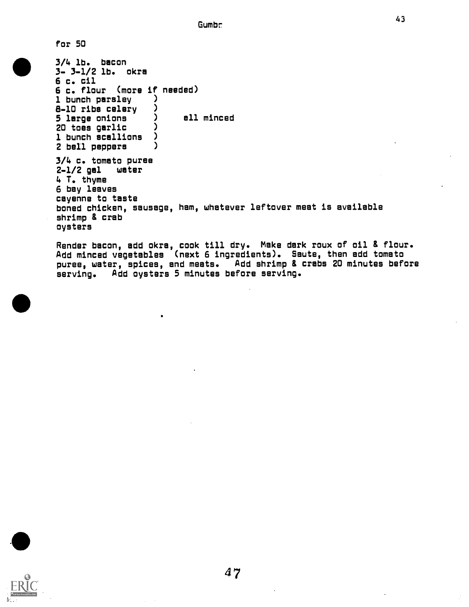for 50

 $3 - 3 - 1/2$  lb. okra 3/4 lb. bacon 6 c. cil 6 c. flour (more if needed) 1 bunch parsley ( )<br>A-10 ribs celery ( ) 8-10 ribs celery )<br>5 leroe onions ) ell minced  $\begin{pmatrix} 5 & \text{large} & \text{onions} & \text{large} \\ 20 & \text{long} & \text{on} & \text{long} \\ 20 & \text{long} & \text{long} & \text{long} \end{pmatrix}$ 20 toes garlic (20)<br>1 hunch scallions (2) 1 bunch scallions )<br>2 bell nenners ) 2 bell peppers 3/4 c. tomato puree  $2-1/2$  gal 4 T. thyme 6 bay leaves cayenne to taste boned chicken, sausage, ham, whatever leftover meat is available shrimp & crab oysters

> Render bacon, add okra, cook till dry. Make dark roux of oil & flour. Add minced vegetables (next 6 ingredients). Saute, then add tomato puree, water, spices, and meats. Add shrimp & crabs 20 minutes before serving. Add oysters 5 minutes before serving.

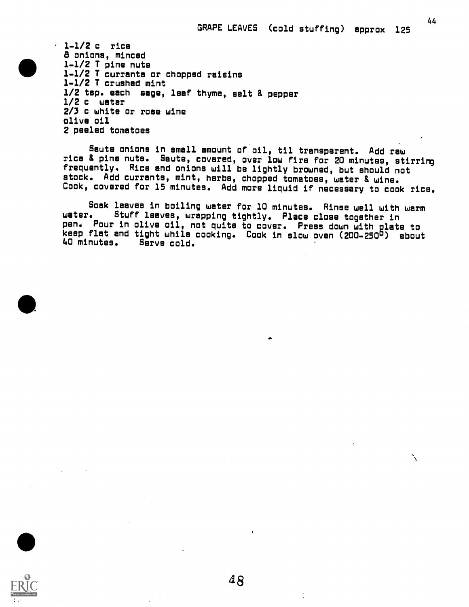44

╲

1-1/2 c rice 8 onions, minced 1-1/2 T pine nuts 1-1/2 T currants or chopped raisins 1-1/2 T crushed mint 1/2 tsp. each sage, leaf thyme, salt & pepper 1/2 c water 2/3 c white or rose wine olive oil 2 peeled tomatoes

Saute onions in small amount of oil, til transparent. Add raw rice & pine nuts. Saute, covered, over low fire for 20 minutes, stirring frequently. Rice and onions will be lightly browned, but should not stock. Add currants, mint, herbs, chopped tomatoes, water & wine. Cook, covered for 15 minutes. Add more liquid if necessary to cook rice.

Soak leaves in boiling water for 10 minutes. Rinse well with warm<br>water. Stuff leaves, wrapping tightly, Place close together in Stuff leaves, wrapping tightly. Place close together in pan. Pour in olive oil, not quite to cover. Press down with plate to keep flat and tight while cooking. Cook in slow oven (200-250<sup>6</sup>) about<br>40 minutes. Serve cold. Serve cold.



 $\bullet$ 

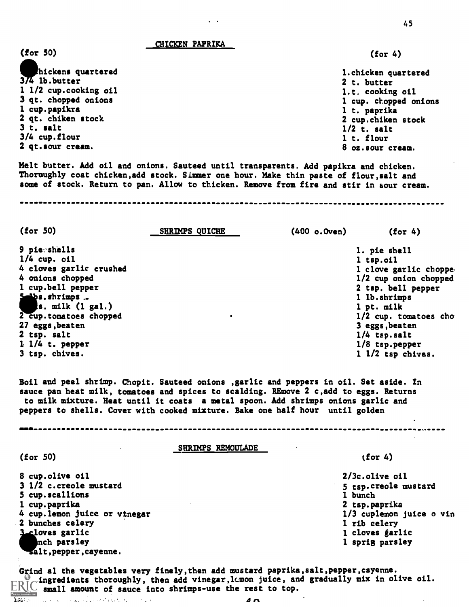CHICKEN PAPRIKA

(for 50)

金融に

45

(for 4)

hickens quartered 1.chicken quartered  $374$  lb.butter 2 t. butter 1 1/2 cup.cooking oil 1.t, cooking oil 3 qt. chopped onions 1 cup. chopped onions 1 cup.papikra 1 t. paprika 2 qt. chiken stock 2 cup.chiken stock 3 t. salt 1/2 t. salt 3/4 cup.flour 1 t. flour 2 qt.sour cream. 8 oz.sour cream. Melt butter. Add oil and onions. Sauteed until transparents. Add papikra and chicken. Thoroughly coat chicken,add stock. Simmer one hour. Make thin paste of flour,salt and some of stock. Return to pan. Allow to thicken. Remove from fire and stir in sour cream. (for 50) SHRIMPS QUICHE (400 o.Oven) (for 4) 9 pie shells 1. pie shell 1/4 cup. oil 1 tsp.oil 4 cloves garlic crushed 1 clove garlic choppe 4 onions chopped 1/2 cup onion chopped 1 cup.bell pepper 2 tsp. bell pepper  $s.$  shrimps  $\ldots$ <br> $s.$  milk (1 gal.) 1 lb.shrimps 1 pt. milk 2 cup.tomatoes chopped 1/2 cup. tomatoes cho 27 eggs,beaten 3 eggs,beaten 2 tsp. salt 1/4 tsp.salt 1. 1/4 t. pepper 1/8 tsp.pepper 3 tsp. chives. 1 1/2 tsp chives. Boil and peel shrimp. Chopit. Sauteed onions ,garlic and peppers in oil. Set aside. In sauce pan heat milk, tomatoes and spices to scalding. REmove 2 c,add to eggs. Returns to milk mixture. Heat until it coats a metal spoon. Add shrimps onions garlic and peppers to shells. Cover with cooked mixture. Bake one half hour until golden SHRIMPS REMOULADE (for 50)  $(for 4)$ 8 cup.olive oil 2/3c.olive oil 3 1/2 c.creole mustard 5 tsp.creole mustard 5 cup.scallions 1 bunch 1 cup.paprika 2 tsp.paprika 1/3 cuplemon juice o vin 4 cup.lemon juice or vtnegar 2 bunches celery 1 rib celery loves garlic 1 cloves garlic nch parsley 1 sprig parsley salt, pepper, cayenne. Grind al the vegetables very finely,then add mustard paprika,salt,pepper,cayenne. Ingredients thoroughly, then add vinegar, know juice, and gradually mix in olive oil.  $\frac{1}{2}$  small amount of sauce into shrimps-use the rest to top.

#### $\Delta$   $\Omega$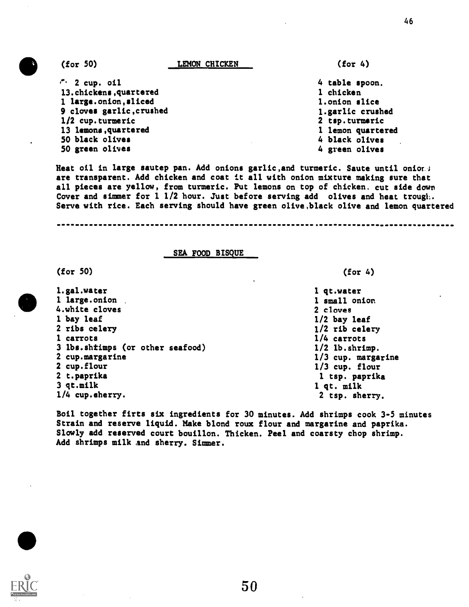46

 $\cdot$  2 cup. oil 13.chickens,quartered 1 large.onion,sliced 9 cloves garlic,crushed 1/2 cup.turmeric 13 lemons,quartered 50 black olives 50 green olives

4 table spoon. 1 chicken 1.onion slice 1.garlic crushed 2 tsp.turmeric 1 lemon quartered 4 black olives 4 green olives

(for 4)

Heat oil in large sautep pan. Add onions garlic, and turmeric. Saute until onions are transparent. Add chicken and coat it all with onion mixture making sure that all pieces are yellow, from turmeric. Put lemons on top of chicken. cut side down Cover and simmer for  $1\ 1/2$  hour. Just before serving add olives and heat trough. Serve with rice. Each serving should have green olive,black olive and lemon quartered

#### SEA FOOD BISQUE

(for 50)

1.gal.water 1 large.onion 4.white cloves 1 bay leaf 2 ribs celery 1 carrots 3 lbs.shtimps (or other seafood) 2 cup.margarine 2 cup.flour 2 t.paprika 3 qt.milk 1/4 cup.eherry.

(for 4)

1 qt.water 1 small onion 2 cloves 1/2 bay leaf 1/2 rib celery 1/4 carrots 1/2 lb.shrimp. 1/3 cup. margarine 1/3 cup. flour 1 tsp. paprika 1 qt. milk 2 tsp. sherry.

Boil together firts six ingredients for 30 minutes. Add shrimps cook 3-5 minutes Strain and reserve liquid. Make blond roux flour and margarine and paprika. Slowly add reserved court bouillon. Thicken. Peel and coarsty chop shrimp. Add shrimps milk and sherry. Simmer.

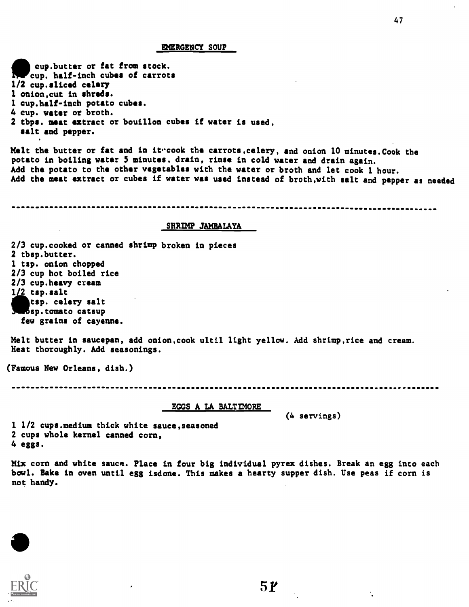#### EMERGENCY SOUP

IT cup. half-inch cubes of carrots cup.butter or fat from stock. 1/2 cup.sliced celery 1 onion,cut in shreds. 1 cup.half-inch potato cubes. 4 cup. water or broth. 2 tbps. meat extract or bouillon cubes if water is used, salt and pepper.

Melt the butter or fat and in itroook the carrots, celery, and onion 10 minutes. Cook the potato in boiling water 5 minutes, drain, rinse in cold water and drain again. Add the potato to the other vegetables with the water or broth and let cook 1 hour. Add the meat extract or cubes if water was used instead of broth,with salt and pepper as needed

#### SHRIMP JAMBALAYA

2/3 cup.cooked or canned shrimp broken in pieces 2 tbsp.butter. 1 tsp. onion chopped 2/3 cup hot boiled rice 2/3 cup.heavy cream  $1/2$  tsp.salt tsp, celery salt sp.tomato catsup few grains of cayenne.

Melt butter in saucepan, add onion,cook ultil light yellow. Add shrimp,rice and cream. Heat thoroughly. Add seasonings.

(Famous New Orleans, dish.)

EGGS A LA BALTIMORE

(4 servings)

1 1/2 cups.medium thick white sauce,seasoned 2 cups whole kernel canned corn, 4 eggs.

Mix corn and white sauce. Place in four big individual pyrex dishes. Break an egg into each bowl. Bake in oven until egg isdone. This makes a hearty supper dish. Use peas if corn is not handy.

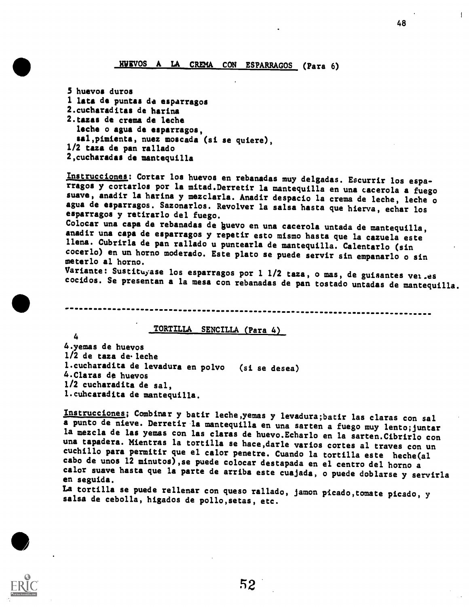### HUEVOS A LA CREMA CON ESPARRAGOS (Para 6)

5 huevos duros I lata de puntas de esparragos 2.cucharaditas de harina 2.tazas de crema de leche leche o agua de esparragos, sal,pimienta, nuez moscada (si se quiere), 1/2 taza de pan rallado 2,cucharadas de mantequilla

Instrucciones: Cortar los huevos en rebanadas muy delgadas. Escurrir los espa-<br>rragos y cortarlos por la mitad. Derretir la mantequilla en una cacerola a fuego<br>suave, anadir la harina y mezclarla. Anadir despacio la crema esparragos y retirarlo del fuego.

Colocar una capa de rebanadas de guevo en una cacerola untada de mantequilla, anadir una capa de esparragos y repetir esto mismo hasta que la cazuela este llena. Cubrirla de pan rallado u puntearla de mantequilla. Calentarlo (sin cocerlo) en un horno moderado. Este plato se puede servir sin empanarlo o sin meterlo al horno.

Variante: Sustituyase los esparragos por 1 1/2 taza, o mas, de guisantes vei .es cocidos. Se presentan a la mesa con rebanadas de pan tostado untadas de mantequilla.

#### TORTILLA SENCILLA (Para 4)

4.yemas de huevos 1/2 de taza de.leche 1.cucharadita de levadura en polvo (si se desea) 4.Claras de huevos 1/2 cucharadita de sal, 1.cuhcaradita de mantequilla.

4

Instrucciones; Combinar y batir leche,yemas y levadura;batir las claras con sal a punto de nieve. Derretir la mantequilla en una sarten a fuego muy lento;juntar la mezcla de las yemas con las claras de huevo.Echarlo en la sarten.Cibrirlo con una tapadera. Mientras la tortilla se hace, darle varios cortes al traves con un<br>cuchillo para permitir que el calor penetre. Cuando la tortilla este heche(al cabo de unos l2 minutos),se puede colocar destapada en el centro del horno a calor suave hasta que la parte de arriba este cuajada, o puede doblarse y servirla

La tortilla se puede rellenar con queso rallado, jamon picado,tomate picado, y salsa de cebolla, higados de pollo,setas, etc.

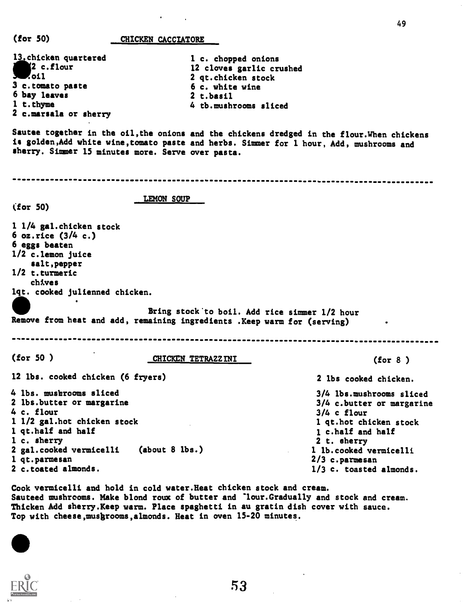| (for 50)                                                                                                                                                                                                  | CHICKEN CACCIATORE                                                                                                                            |                                                                                                                                                                                                               |
|-----------------------------------------------------------------------------------------------------------------------------------------------------------------------------------------------------------|-----------------------------------------------------------------------------------------------------------------------------------------------|---------------------------------------------------------------------------------------------------------------------------------------------------------------------------------------------------------------|
| 13. chicken quartered<br>2 c.flour<br>Zoil<br>3 c.tomato paste<br>6 bay leaves<br>1 t.thyme<br>2 c.marsala or sherry                                                                                      | 1 c. chopped onions<br>12 cloves garlic crushed<br>2 qt.chicken stock<br>6 c. white wine<br>2 t.basil<br>4 tb.mushrooms sliced                |                                                                                                                                                                                                               |
|                                                                                                                                                                                                           | is golden, Add white wine, tomato paste and herbs. Simmer for 1 hour, Add, mushrooms and<br>sherry. Simmer 15 minutes more. Serve over pasta. | Sautee together in the oil, the onions and the chickens dredged in the flour. When chickens                                                                                                                   |
|                                                                                                                                                                                                           |                                                                                                                                               |                                                                                                                                                                                                               |
| (for 50)                                                                                                                                                                                                  | LEMON SOUP                                                                                                                                    |                                                                                                                                                                                                               |
| 1 1/4 gal.chicken stock<br>6 $oz.rice$ (3/4 c.)<br>6 eggs beaten<br>1/2 c.lemon juice<br>salt, pepper<br>$1/2$ t.turmeric<br>chives<br>lqt. cooked julienned chicken.                                     | Bring stock to boil. Add rice simmer 1/2 hour<br>Remove from heat and add, remaining ingredients . Keep warm for (serving)                    |                                                                                                                                                                                                               |
|                                                                                                                                                                                                           |                                                                                                                                               |                                                                                                                                                                                                               |
| (for 50)                                                                                                                                                                                                  | <b>CHICKEN TETRAZZINI</b>                                                                                                                     | (for 8)                                                                                                                                                                                                       |
| 12 lbs. cooked chicken (6 fryers)                                                                                                                                                                         |                                                                                                                                               | 2 lbs cooked chicken.                                                                                                                                                                                         |
| 4 lbs. mushrooms sliced<br>2 lbs.butter or margarine<br>4 c. flour<br>1 1/2 gal.hot chicken stock<br>1 qt.half and half<br>1 c. sherry<br>2 gal.cooked vermicelli<br>1 qt.parmesan<br>2 c.toated almonds. | (about 8 lbs.)                                                                                                                                | 3/4 lbs.mushrooms sliced<br>3/4 c.butter or margarine<br>$3/4$ c flour<br>1 qt.hot chicken stock<br>1 c.half and half<br>2 t. sherry<br>1 lb.cooked vermicelli<br>$2/3$ c.parmesan<br>1/3 c. toasted almonds. |

49

Cook vermicelli and hold in cold water.Heat chicken stock and cream. Sauteed mushrooms. Make blond roux of butter and -lour.Gradually and stock and cream. Thicken Add sherry.Keep warm. Place spaghetti in au gratin dish cover with sauce. Top with cheese,musbrooms,almonds. Heat in oven 15-20 minutes.



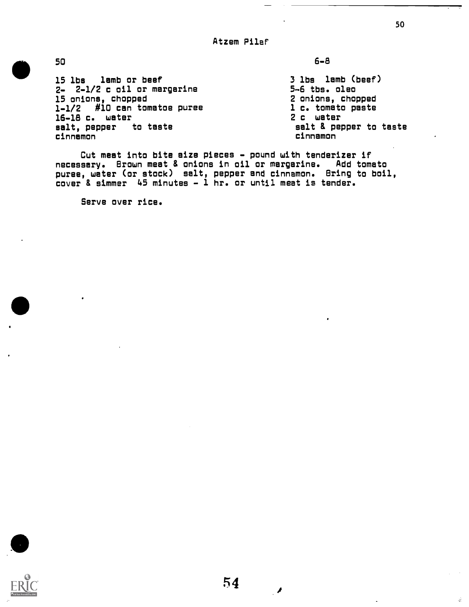Atzem Pilaf

50

15 lbs lamb or beef 2- 2-1/2 c oil or margarine 15 onions, chopped 1-1/2 #10 can tomatoe puree 16-18 c. water salt, pepper to taste cinnamon

6-8

3 lbs lamb (beef) 5-6 tbs. oleo 2 onions, chopped 1 c. tomato paste 2 c water salt & pepper to taste cinnamon

Cut meat into bite aize pieces - pound with tenderizer if necessary. Brown meat & onions in oil or margarine. Add tomato puree, water (or stock) salt, pepper and cinnamon. Bring to boil, cover & simmer 45 minutes - 1 hr. or until meat is tender.

Serve over rice.

 $\dot{d}$ 

 $\overline{\phantom{a}}$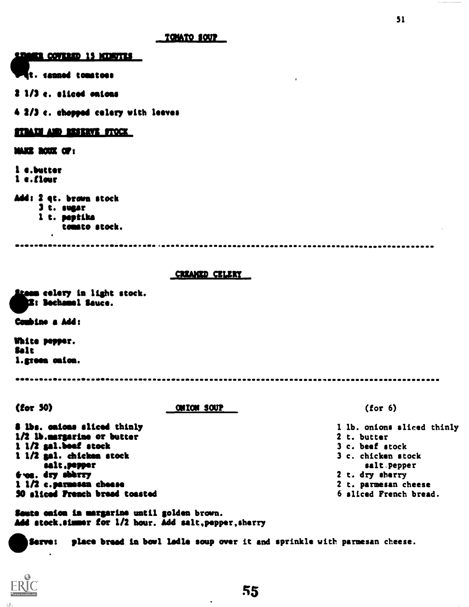<u>ER COVERED 15 NEURVIES </u>

t. leaned tomatoes

2 1/3 c. sliced salons

4 2/3 c. chopped celery with leaves

#### <u>1711111 AND MASERVE STOCK</u>

11122 DOUX OF:

1 c.butter 1 c.flour Add: 2 qt. brown stock 3 t. sugar 1 t. peptika tomato stock.

aan :aannaan

#### CREAKED CELERY

mam celery in light stock.<br>|E: Bechamel Sauce.

Combine a Add:

White pepper. Salt 1.gteea adorn.

\_\_\_\_\_\_\_\_**\_\_\_\_\_\_\_\_\_\_**\_

(for 30) ONION SOUP

**8 lbs. caicas sliced thinly** 1/2 ib.margarine or butter 1 1/2 gal.beet stock 1 1/2 gel. chicken stock salt,pepper Nes. dry ebbrry 1 1/2 c.permases cheese 30 sliced Preach bread toasted

Saute caica in margarine until golden brown. Add stock.simmer for 1/2 hour. Add salt, pepper, sherry

Serve: place breed in bowl ledle soup over it and sprinkle with parmesan cheese.



(for 6)

1 lb. onions sliced thinly 2 t. butter 3 c. beef stock 3 c. chicken stock salt pepper 2 t. dry sherry 2 t. parmesan cheese 6 sliced French bread.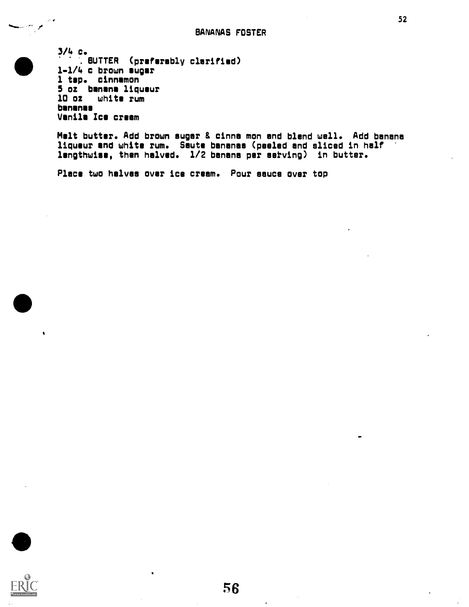3/4 c.  $\bullet$  11/ BUTTER (preferably clarified) 1-1/4 c brown ugar 1 tsp. cinnamon 5 oz banana liqueur 10 oz whits rum bananas Vanila Ice cream

> Melt butter. Add brown sugar & cinna mon and blend well. Add banana liqueur and whits rum. Saute bananas (peeled and sliced in half lengthwise, then halved. 1/2 banana per serving) in butter.

Place two halves over ice cream. Pour sauce over top



 $\bullet$ 

المواردين

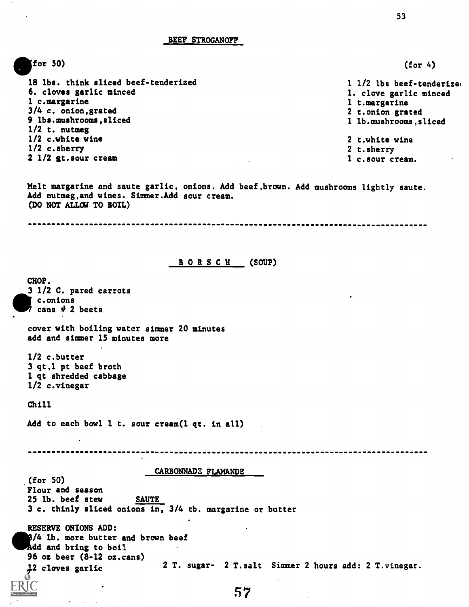BEEF STROGANOFF

efor 50)  $(for 4)$ 18 lbs. think sliced beef-tenderized 1 1/2 lbs beef-tenderizel 6. cloves garlic minced 1. clove garlic minced 1 c.margarine 1 t.margarine 3/4 c. onion,grated 2 t.onion grated 9 lbs.mushrooms,sliced 1 lb.mushrooms,sliced 1/2 t. nutmeg 1/2 c.white wine 2 t.white wine 1/2 c.sherry 2 t.sherry 2 1/2 gt.sour cream 1 c.sour cream. Melt margarine and saute garlic, onions. Add beef,brown. Add mushrooms lightly saute. Add nutmeg,and wines. Simmer.Add sour cream. (DO NOT ALLOW TO BOIL) BORSCH (SOUP) CHOP. 3 1/2 C. pared carrots c.onions cans # 2 beets cover with boiling water simmer 20 minutes add and simmer 15 minutes more 1/2 c.butter 3 qt,1 pt beef broth 1 qt shredded cabbage 1/2 c.vinegar Chill Add to each bowl 1 t. sour cream(1 qt. in all) -----------------------------------------CARBONNADE FLAMANDE (for 50) Flour and season 25 lb. beef stew SAUTE 3 c. thinly sliced onions in, 3/4 tb. margarine or butter RESERVE ONIONS ADD:  $141$ . more butter and brown beef Add and bring to boil 96 oz beer (8-12 oz.cans) 12 cloves garlic 2 T. sugar- 2 T.salt Simmer 2 hours add: 2 T.vinegar. ЯC

53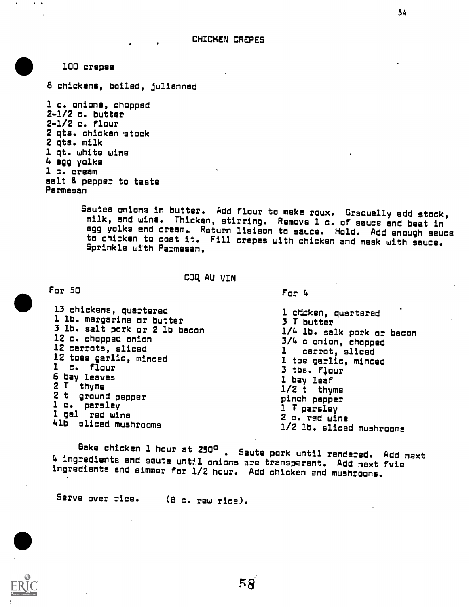100 crepes

8 chickens, boiled, julianned

1 c. onions, chopped 2-1/2 c. butter 2-1/2 c. flour 2 qts. chicken stock 2 qts. milk 1 qt. white wine 4 egg yolks 1 c. cream salt & pepper to taste Parmesan

> Sautes anions in butter. Add flour to make roux. Gradually add stock, milk, and wine. Thicken, stirring. Remove 1 c. of sauce and beat in egg yolks and cream.. Return liaison to sauce. Hold. Add enough sauce to chicken to coat it. Fill crepes with chicken and mask with sauce. Sprinkle with Parmesan.

> > COQ AU VIN

For 50

13 chickens, quartered 1 lb. margarine or butter 3 lb. salt pork or 2 lb bacon 12 c. chopped onion 12 carrots, sliced 12 toes garlic, minced 1 c. flour bay leaves 2 T thyme 2 t ground pepper 1 c. parsley 1 gal red wine 41b sliced mushrooms 1 chcken, quartered 3 T butter 3/4 c onion, chopped carrot, sliced 1 toe garlic, minced 3 tbs. flour 1 bay leaf 1/2 t thyme pinch pepper 1 T parsley 2 c. red wine

Sake chicken 1 hour at 250° . Saute pork until rendered. Add next 4 ingredients and saute unttl onions are transparent. Add next fvie ingredients and simmer for 1/2 hour. Add chicken end mushroons.

Serve over rice. (8 c. raw rice).



1/4 lb. salk pork or bacon 1/2 lb. sliced mushrooms

For 4